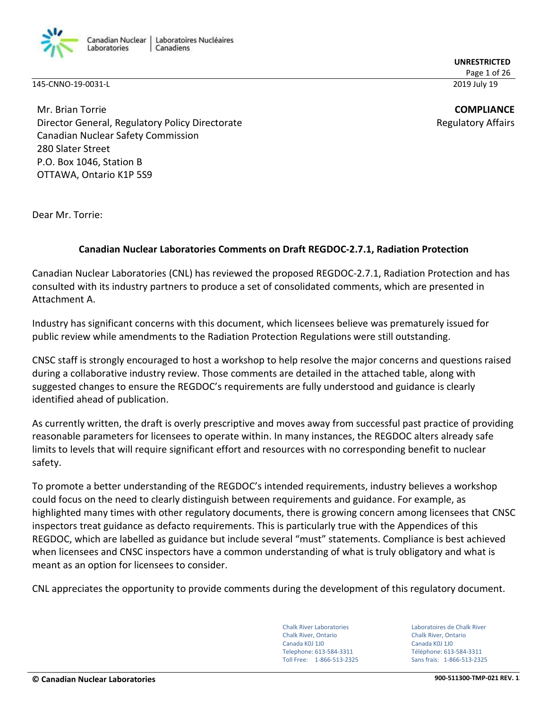

**UNRESTRICTED**

Page 1 of 26

**COMPLIANCE** Regulatory Affairs

Mr. Brian Torrie Director General, Regulatory Policy Directorate Canadian Nuclear Safety Commission 280 Slater Street P.O. Box 1046, Station B OTTAWA, Ontario K1P 5S9

Dear Mr. Torrie:

## **Canadian Nuclear Laboratories Comments on Draft REGDOC-2.7.1, Radiation Protection**

Canadian Nuclear Laboratories (CNL) has reviewed the proposed REGDOC-2.7.1, Radiation Protection and has consulted with its industry partners to produce a set of consolidated comments, which are presented in Attachment A.

Industry has significant concerns with this document, which licensees believe was prematurely issued for public review while amendments to the Radiation Protection Regulations were still outstanding.

CNSC staff is strongly encouraged to host a workshop to help resolve the major concerns and questions raised during a collaborative industry review. Those comments are detailed in the attached table, along with suggested changes to ensure the REGDOC's requirements are fully understood and guidance is clearly identified ahead of publication.

As currently written, the draft is overly prescriptive and moves away from successful past practice of providing reasonable parameters for licensees to operate within. In many instances, the REGDOC alters already safe limits to levels that will require significant effort and resources with no corresponding benefit to nuclear safety.

To promote a better understanding of the REGDOC's intended requirements, industry believes a workshop could focus on the need to clearly distinguish between requirements and guidance. For example, as highlighted many times with other regulatory documents, there is growing concern among licensees that CNSC inspectors treat guidance as defacto requirements. This is particularly true with the Appendices of this REGDOC, which are labelled as guidance but include several "must" statements. Compliance is best achieved when licensees and CNSC inspectors have a common understanding of what is truly obligatory and what is meant as an option for licensees to consider.

CNL appreciates the opportunity to provide comments during the development of this regulatory document.

Chalk River Laboratories Laboratoires de Chalk River Chalk River, Ontario Chalk River, Ontario Canada K0J 1J0 Canada K0J 1J0 Telephone: 613-584-3311 Téléphone: 613-584-3311 Toll Free: 1-866-513-2325 Sans frais: 1-866-513-2325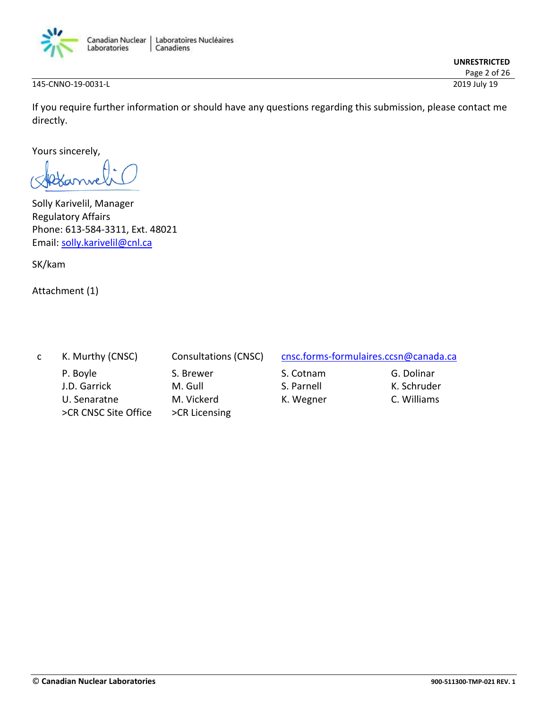

**UNRESTRICTED** Page 2 of 26

145-CNNO-19-0031-L 2019 July 19

If you require further information or should have any questions regarding this submission, please contact me directly.

Yours sincerely,

Solly Karivelil, Manager Regulatory Affairs Phone: 613-584-3311, Ext. 48021 Email: solly.karivelil@cnl.ca

SK/kam

Attachment (1)

| <b>C</b> | K. Murthy (CNSC)     | Consultations |
|----------|----------------------|---------------|
|          | P. Boyle             | S. Brewer     |
|          | J.D. Garrick         | M. Gull       |
|          | U. Senaratne         | M. Vickerd    |
|          | >CR CNSC Site Office | >CR Licensing |

S. Brewer S. Cotnam G. Dolinar M. Gull S. Parnell K. Schruder M. Vickerd K. Wegner C. Williams

Consultations (CNSC) cnsc.forms-formulaires.ccsn@canada.ca

- 
- 
-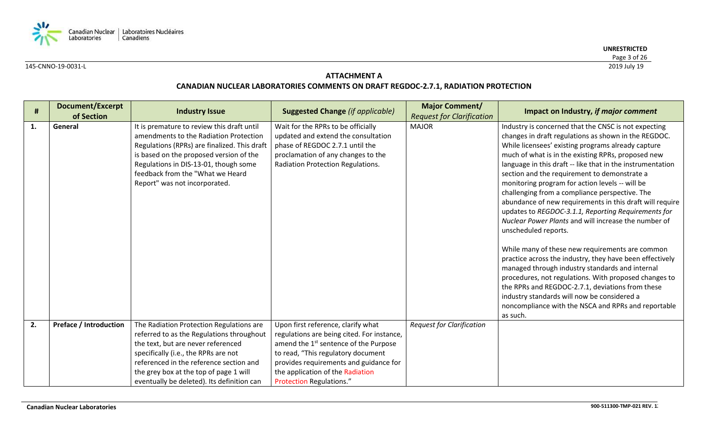

# **ATTACHMENT A CANADIAN NUCLEAR LABORATORIES COMMENTS ON DRAFT REGDOC-2.7.1, RADIATION PROTECTION**

| $\#$ | Document/Excerpt<br>of Section | <b>Industry Issue</b>                                                                                                                                                                                                                                                                                  | <b>Suggested Change (if applicable)</b>                                                                                                                                                                                                                                                      | <b>Major Comment/</b><br><b>Request for Clarification</b> | Impact on Industry, if major comment                                                                                                                                                                                                                                                                                                                                                                                                                                                                                                                                                                                                           |
|------|--------------------------------|--------------------------------------------------------------------------------------------------------------------------------------------------------------------------------------------------------------------------------------------------------------------------------------------------------|----------------------------------------------------------------------------------------------------------------------------------------------------------------------------------------------------------------------------------------------------------------------------------------------|-----------------------------------------------------------|------------------------------------------------------------------------------------------------------------------------------------------------------------------------------------------------------------------------------------------------------------------------------------------------------------------------------------------------------------------------------------------------------------------------------------------------------------------------------------------------------------------------------------------------------------------------------------------------------------------------------------------------|
| 1.   | General                        | It is premature to review this draft until<br>amendments to the Radiation Protection<br>Regulations (RPRs) are finalized. This draft<br>is based on the proposed version of the<br>Regulations in DIS-13-01, though some<br>feedback from the "What we Heard<br>Report" was not incorporated.          | Wait for the RPRs to be officially<br>updated and extend the consultation<br>phase of REGDOC 2.7.1 until the<br>proclamation of any changes to the<br>Radiation Protection Regulations.                                                                                                      | <b>MAJOR</b>                                              | Industry is concerned that the CNSC is not expecting<br>changes in draft regulations as shown in the REGDOC.<br>While licensees' existing programs already capture<br>much of what is in the existing RPRs, proposed new<br>language in this draft -- like that in the instrumentation<br>section and the requirement to demonstrate a<br>monitoring program for action levels -- will be<br>challenging from a compliance perspective. The<br>abundance of new requirements in this draft will require<br>updates to REGDOC-3.1.1, Reporting Requirements for<br>Nuclear Power Plants and will increase the number of<br>unscheduled reports. |
|      |                                |                                                                                                                                                                                                                                                                                                        |                                                                                                                                                                                                                                                                                              |                                                           | While many of these new requirements are common<br>practice across the industry, they have been effectively<br>managed through industry standards and internal<br>procedures, not regulations. With proposed changes to<br>the RPRs and REGDOC-2.7.1, deviations from these<br>industry standards will now be considered a<br>noncompliance with the NSCA and RPRs and reportable<br>as such.                                                                                                                                                                                                                                                  |
| 2.   | <b>Preface / Introduction</b>  | The Radiation Protection Regulations are<br>referred to as the Regulations throughout<br>the text, but are never referenced<br>specifically (i.e., the RPRs are not<br>referenced in the reference section and<br>the grey box at the top of page 1 will<br>eventually be deleted). Its definition can | Upon first reference, clarify what<br>regulations are being cited. For instance,<br>amend the 1 <sup>st</sup> sentence of the Purpose<br>to read, "This regulatory document<br>provides requirements and guidance for<br>the application of the Radiation<br><b>Protection Regulations."</b> | <b>Request for Clarification</b>                          |                                                                                                                                                                                                                                                                                                                                                                                                                                                                                                                                                                                                                                                |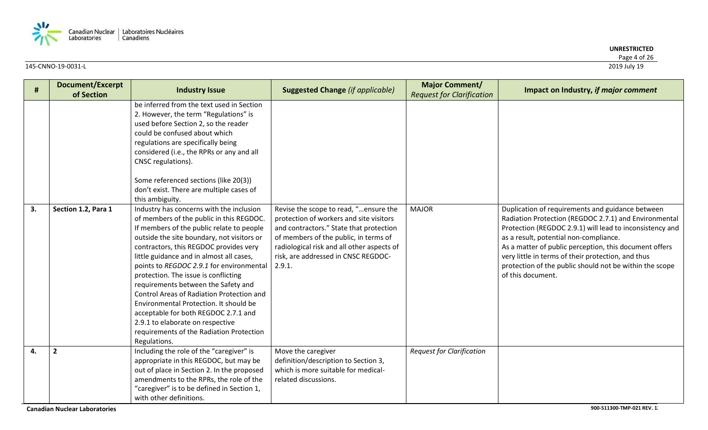

| #  | <b>Document/Excerpt</b><br>of Section | <b>Industry Issue</b>                                                                                                                                                                                                                                                                                                                                                                                                                                                                                                                                                                                                                              | <b>Suggested Change (if applicable)</b>                                                                                                                                                                                                                             | <b>Major Comment/</b><br><b>Request for Clarification</b> | Impact on Industry, if major comment                                                                                                                                                                                                                                                                                                                                                                            |
|----|---------------------------------------|----------------------------------------------------------------------------------------------------------------------------------------------------------------------------------------------------------------------------------------------------------------------------------------------------------------------------------------------------------------------------------------------------------------------------------------------------------------------------------------------------------------------------------------------------------------------------------------------------------------------------------------------------|---------------------------------------------------------------------------------------------------------------------------------------------------------------------------------------------------------------------------------------------------------------------|-----------------------------------------------------------|-----------------------------------------------------------------------------------------------------------------------------------------------------------------------------------------------------------------------------------------------------------------------------------------------------------------------------------------------------------------------------------------------------------------|
|    |                                       | be inferred from the text used in Section<br>2. However, the term "Regulations" is<br>used before Section 2, so the reader<br>could be confused about which<br>regulations are specifically being<br>considered (i.e., the RPRs or any and all<br>CNSC regulations).<br>Some referenced sections (like 20(3))<br>don't exist. There are multiple cases of                                                                                                                                                                                                                                                                                          |                                                                                                                                                                                                                                                                     |                                                           |                                                                                                                                                                                                                                                                                                                                                                                                                 |
| 3. | Section 1.2, Para 1                   | this ambiguity.<br>Industry has concerns with the inclusion<br>of members of the public in this REGDOC.<br>If members of the public relate to people<br>outside the site boundary, not visitors or<br>contractors, this REGDOC provides very<br>little guidance and in almost all cases,<br>points to REGDOC 2.9.1 for environmental<br>protection. The issue is conflicting<br>requirements between the Safety and<br>Control Areas of Radiation Protection and<br>Environmental Protection. It should be<br>acceptable for both REGDOC 2.7.1 and<br>2.9.1 to elaborate on respective<br>requirements of the Radiation Protection<br>Regulations. | Revise the scope to read, "ensure the<br>protection of workers and site visitors<br>and contractors." State that protection<br>of members of the public, in terms of<br>radiological risk and all other aspects of<br>risk, are addressed in CNSC REGDOC-<br>2.9.1. | <b>MAJOR</b>                                              | Duplication of requirements and guidance between<br>Radiation Protection (REGDOC 2.7.1) and Environmental<br>Protection (REGDOC 2.9.1) will lead to inconsistency and<br>as a result, potential non-compliance.<br>As a matter of public perception, this document offers<br>very little in terms of their protection, and thus<br>protection of the public should not be within the scope<br>of this document. |
| 4. | $\overline{2}$                        | Including the role of the "caregiver" is<br>appropriate in this REGDOC, but may be<br>out of place in Section 2. In the proposed<br>amendments to the RPRs, the role of the<br>"caregiver" is to be defined in Section 1,<br>with other definitions.                                                                                                                                                                                                                                                                                                                                                                                               | Move the caregiver<br>definition/description to Section 3,<br>which is more suitable for medical-<br>related discussions.                                                                                                                                           | <b>Request for Clarification</b>                          |                                                                                                                                                                                                                                                                                                                                                                                                                 |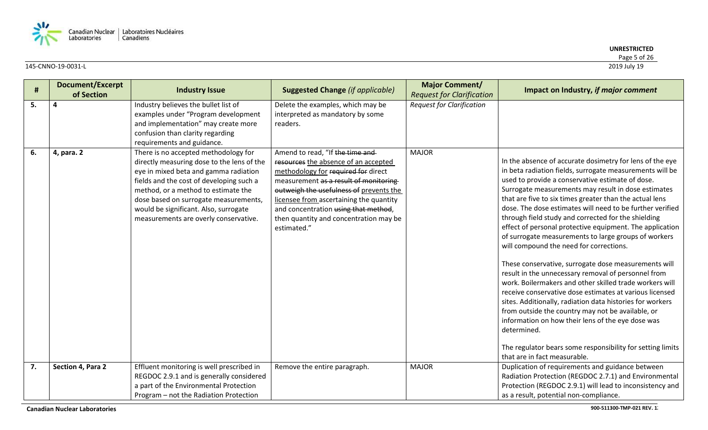

| #  | Document/Excerpt<br>of Section | <b>Industry Issue</b>                                                                                                                                                                                                                                                                                                                     | <b>Suggested Change (if applicable)</b>                                                                                                                                                                                                                                                                                                        | <b>Major Comment/</b><br><b>Request for Clarification</b> | Impact on Industry, if major comment                                                                                                                                                                                                                                                                                                                                                                                                                                                                                                                                                                                                                                                                                                                                                                                                                                                                                                                                                                                                                                                                   |
|----|--------------------------------|-------------------------------------------------------------------------------------------------------------------------------------------------------------------------------------------------------------------------------------------------------------------------------------------------------------------------------------------|------------------------------------------------------------------------------------------------------------------------------------------------------------------------------------------------------------------------------------------------------------------------------------------------------------------------------------------------|-----------------------------------------------------------|--------------------------------------------------------------------------------------------------------------------------------------------------------------------------------------------------------------------------------------------------------------------------------------------------------------------------------------------------------------------------------------------------------------------------------------------------------------------------------------------------------------------------------------------------------------------------------------------------------------------------------------------------------------------------------------------------------------------------------------------------------------------------------------------------------------------------------------------------------------------------------------------------------------------------------------------------------------------------------------------------------------------------------------------------------------------------------------------------------|
| 5. | $\overline{a}$                 | Industry believes the bullet list of<br>examples under "Program development<br>and implementation" may create more<br>confusion than clarity regarding<br>requirements and guidance.                                                                                                                                                      | Delete the examples, which may be<br>interpreted as mandatory by some<br>readers.                                                                                                                                                                                                                                                              | <b>Request for Clarification</b>                          |                                                                                                                                                                                                                                                                                                                                                                                                                                                                                                                                                                                                                                                                                                                                                                                                                                                                                                                                                                                                                                                                                                        |
| 6. | 4, para. 2                     | There is no accepted methodology for<br>directly measuring dose to the lens of the<br>eye in mixed beta and gamma radiation<br>fields and the cost of developing such a<br>method, or a method to estimate the<br>dose based on surrogate measurements,<br>would be significant. Also, surrogate<br>measurements are overly conservative. | Amend to read, "If the time and<br>resources the absence of an accepted<br>methodology for required for direct<br>measurement as a result of monitoring<br>outweigh the usefulness of prevents the<br>licensee from ascertaining the quantity<br>and concentration using that method,<br>then quantity and concentration may be<br>estimated." | <b>MAJOR</b>                                              | In the absence of accurate dosimetry for lens of the eye<br>in beta radiation fields, surrogate measurements will be<br>used to provide a conservative estimate of dose.<br>Surrogate measurements may result in dose estimates<br>that are five to six times greater than the actual lens<br>dose. The dose estimates will need to be further verified<br>through field study and corrected for the shielding<br>effect of personal protective equipment. The application<br>of surrogate measurements to large groups of workers<br>will compound the need for corrections.<br>These conservative, surrogate dose measurements will<br>result in the unnecessary removal of personnel from<br>work. Boilermakers and other skilled trade workers will<br>receive conservative dose estimates at various licensed<br>sites. Additionally, radiation data histories for workers<br>from outside the country may not be available, or<br>information on how their lens of the eye dose was<br>determined.<br>The regulator bears some responsibility for setting limits<br>that are in fact measurable. |
| 7. | Section 4, Para 2              | Effluent monitoring is well prescribed in<br>REGDOC 2.9.1 and is generally considered<br>a part of the Environmental Protection<br>Program - not the Radiation Protection                                                                                                                                                                 | Remove the entire paragraph.                                                                                                                                                                                                                                                                                                                   | <b>MAJOR</b>                                              | Duplication of requirements and guidance between<br>Radiation Protection (REGDOC 2.7.1) and Environmental<br>Protection (REGDOC 2.9.1) will lead to inconsistency and<br>as a result, potential non-compliance.                                                                                                                                                                                                                                                                                                                                                                                                                                                                                                                                                                                                                                                                                                                                                                                                                                                                                        |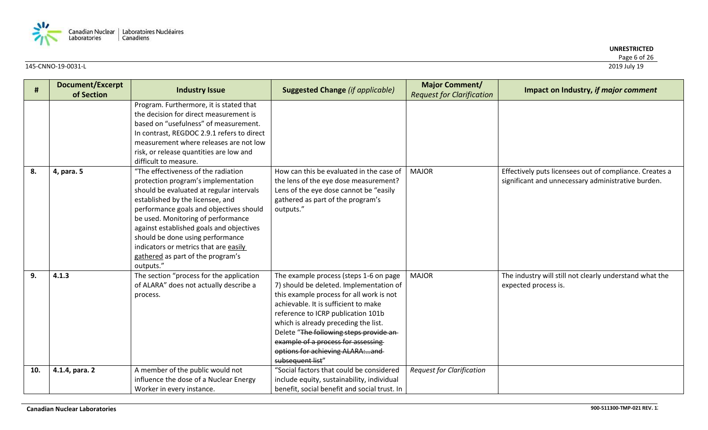

| #   | <b>Document/Excerpt</b><br>of Section | <b>Industry Issue</b>                                                                                                                                                                                                                                                                                                                                                                                                  | <b>Suggested Change (if applicable)</b>                                                                                                                                                                                                                                                                                                                                                      | <b>Major Comment/</b><br><b>Request for Clarification</b> | Impact on Industry, if major comment                                                                          |
|-----|---------------------------------------|------------------------------------------------------------------------------------------------------------------------------------------------------------------------------------------------------------------------------------------------------------------------------------------------------------------------------------------------------------------------------------------------------------------------|----------------------------------------------------------------------------------------------------------------------------------------------------------------------------------------------------------------------------------------------------------------------------------------------------------------------------------------------------------------------------------------------|-----------------------------------------------------------|---------------------------------------------------------------------------------------------------------------|
|     |                                       | Program. Furthermore, it is stated that<br>the decision for direct measurement is<br>based on "usefulness" of measurement.<br>In contrast, REGDOC 2.9.1 refers to direct<br>measurement where releases are not low<br>risk, or release quantities are low and<br>difficult to measure.                                                                                                                                 |                                                                                                                                                                                                                                                                                                                                                                                              |                                                           |                                                                                                               |
| 8.  | 4, para. 5                            | "The effectiveness of the radiation<br>protection program's implementation<br>should be evaluated at regular intervals<br>established by the licensee, and<br>performance goals and objectives should<br>be used. Monitoring of performance<br>against established goals and objectives<br>should be done using performance<br>indicators or metrics that are easily<br>gathered as part of the program's<br>outputs." | How can this be evaluated in the case of<br>the lens of the eye dose measurement?<br>Lens of the eye dose cannot be "easily<br>gathered as part of the program's<br>outputs."                                                                                                                                                                                                                | <b>MAJOR</b>                                              | Effectively puts licensees out of compliance. Creates a<br>significant and unnecessary administrative burden. |
| 9.  | 4.1.3                                 | The section "process for the application<br>of ALARA" does not actually describe a<br>process.                                                                                                                                                                                                                                                                                                                         | The example process (steps 1-6 on page<br>7) should be deleted. Implementation of<br>this example process for all work is not<br>achievable. It is sufficient to make<br>reference to ICRP publication 101b<br>which is already preceding the list.<br>Delete "The following steps provide an-<br>example of a process for assessing<br>options for achieving ALARA:and-<br>subsequent list" | <b>MAJOR</b>                                              | The industry will still not clearly understand what the<br>expected process is.                               |
| 10. | 4.1.4, para. 2                        | A member of the public would not<br>influence the dose of a Nuclear Energy<br>Worker in every instance.                                                                                                                                                                                                                                                                                                                | "Social factors that could be considered<br>include equity, sustainability, individual<br>benefit, social benefit and social trust. In                                                                                                                                                                                                                                                       | <b>Request for Clarification</b>                          |                                                                                                               |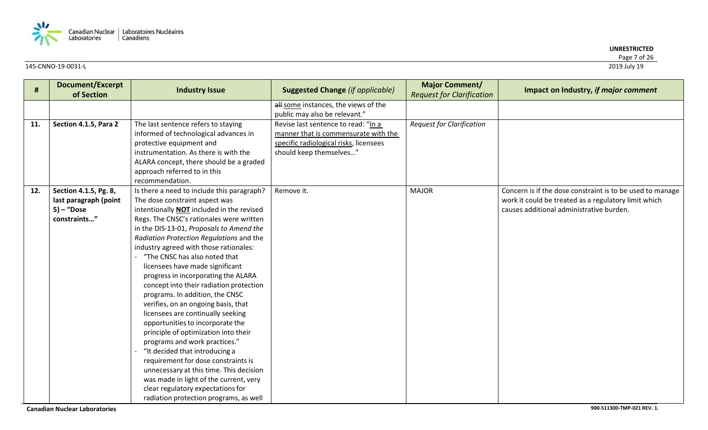

| #   | <b>Document/Excerpt</b><br>of Section | <b>Industry Issue</b>                                                    | <b>Suggested Change (if applicable)</b> | <b>Major Comment/</b><br><b>Request for Clarification</b> | Impact on Industry, if major comment                      |
|-----|---------------------------------------|--------------------------------------------------------------------------|-----------------------------------------|-----------------------------------------------------------|-----------------------------------------------------------|
|     |                                       |                                                                          | all some instances, the views of the    |                                                           |                                                           |
|     |                                       |                                                                          | public may also be relevant."           |                                                           |                                                           |
| 11. | Section 4.1.5, Para 2                 | The last sentence refers to staying                                      | Revise last sentence to read: "In a     | <b>Request for Clarification</b>                          |                                                           |
|     |                                       | informed of technological advances in                                    | manner that is commensurate with the    |                                                           |                                                           |
|     |                                       | protective equipment and                                                 | specific radiological risks, licensees  |                                                           |                                                           |
|     |                                       | instrumentation. As there is with the                                    | should keep themselves"                 |                                                           |                                                           |
|     |                                       | ALARA concept, there should be a graded                                  |                                         |                                                           |                                                           |
|     |                                       | approach referred to in this                                             |                                         |                                                           |                                                           |
|     |                                       | recommendation.                                                          |                                         |                                                           |                                                           |
| 12. | Section 4.1.5, Pg. 8,                 | Is there a need to include this paragraph?                               | Remove it.                              | <b>MAJOR</b>                                              | Concern is if the dose constraint is to be used to manage |
|     | last paragraph (point                 | The dose constraint aspect was                                           |                                         |                                                           | work it could be treated as a regulatory limit which      |
|     | $5$ ) – "Dose                         | intentionally <b>NOT</b> included in the revised                         |                                         |                                                           | causes additional administrative burden.                  |
|     | constraints"                          | Regs. The CNSC's rationales were written                                 |                                         |                                                           |                                                           |
|     |                                       | in the DIS-13-01, Proposals to Amend the                                 |                                         |                                                           |                                                           |
|     |                                       | Radiation Protection Regulations and the                                 |                                         |                                                           |                                                           |
|     |                                       | industry agreed with those rationales:                                   |                                         |                                                           |                                                           |
|     |                                       | "The CNSC has also noted that                                            |                                         |                                                           |                                                           |
|     |                                       | licensees have made significant                                          |                                         |                                                           |                                                           |
|     |                                       | progress in incorporating the ALARA                                      |                                         |                                                           |                                                           |
|     |                                       | concept into their radiation protection                                  |                                         |                                                           |                                                           |
|     |                                       | programs. In addition, the CNSC                                          |                                         |                                                           |                                                           |
|     |                                       | verifies, on an ongoing basis, that<br>licensees are continually seeking |                                         |                                                           |                                                           |
|     |                                       | opportunities to incorporate the                                         |                                         |                                                           |                                                           |
|     |                                       | principle of optimization into their                                     |                                         |                                                           |                                                           |
|     |                                       | programs and work practices."                                            |                                         |                                                           |                                                           |
|     |                                       | "It decided that introducing a                                           |                                         |                                                           |                                                           |
|     |                                       | requirement for dose constraints is                                      |                                         |                                                           |                                                           |
|     |                                       | unnecessary at this time. This decision                                  |                                         |                                                           |                                                           |
|     |                                       | was made in light of the current, very                                   |                                         |                                                           |                                                           |
|     |                                       | clear regulatory expectations for                                        |                                         |                                                           |                                                           |
|     |                                       | radiation protection programs, as well                                   |                                         |                                                           |                                                           |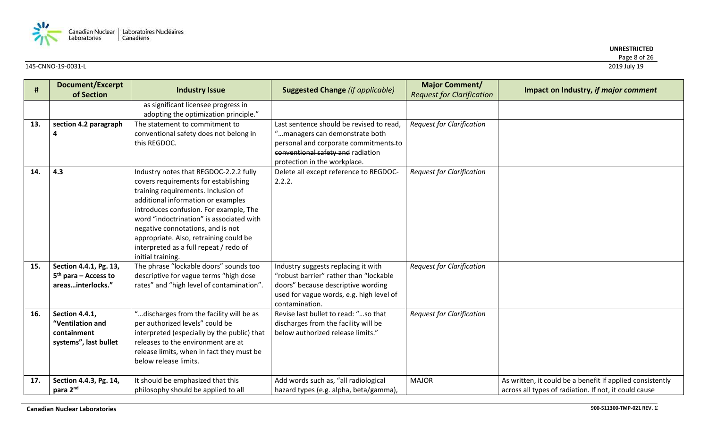

| #   | <b>Document/Excerpt</b><br>of Section                                             | <b>Industry Issue</b>                                                                                                                                                                                                                                                                                                                                                                           | <b>Suggested Change (if applicable)</b>                                                                                                                                                  | <b>Major Comment/</b><br><b>Request for Clarification</b> | Impact on Industry, if major comment                                                                               |
|-----|-----------------------------------------------------------------------------------|-------------------------------------------------------------------------------------------------------------------------------------------------------------------------------------------------------------------------------------------------------------------------------------------------------------------------------------------------------------------------------------------------|------------------------------------------------------------------------------------------------------------------------------------------------------------------------------------------|-----------------------------------------------------------|--------------------------------------------------------------------------------------------------------------------|
|     |                                                                                   | as significant licensee progress in<br>adopting the optimization principle."                                                                                                                                                                                                                                                                                                                    |                                                                                                                                                                                          |                                                           |                                                                                                                    |
| 13. | section 4.2 paragraph<br>4                                                        | The statement to commitment to<br>conventional safety does not belong in<br>this REGDOC.                                                                                                                                                                                                                                                                                                        | Last sentence should be revised to read,<br>"managers can demonstrate both<br>personal and corporate commitments-to<br>conventional safety and radiation<br>protection in the workplace. | <b>Request for Clarification</b>                          |                                                                                                                    |
| 14. | 4.3                                                                               | Industry notes that REGDOC-2.2.2 fully<br>covers requirements for establishing<br>training requirements. Inclusion of<br>additional information or examples<br>introduces confusion. For example, The<br>word "indoctrination" is associated with<br>negative connotations, and is not<br>appropriate. Also, retraining could be<br>interpreted as a full repeat / redo of<br>initial training. | Delete all except reference to REGDOC-<br>2.2.2.                                                                                                                                         | <b>Request for Clarification</b>                          |                                                                                                                    |
| 15. | Section 4.4.1, Pg. 13,<br>$5th$ para – Access to<br>areasinterlocks."             | The phrase "lockable doors" sounds too<br>descriptive for vague terms "high dose<br>rates" and "high level of contamination".                                                                                                                                                                                                                                                                   | Industry suggests replacing it with<br>"robust barrier" rather than "lockable<br>doors" because descriptive wording<br>used for vague words, e.g. high level of<br>contamination.        | <b>Request for Clarification</b>                          |                                                                                                                    |
| 16. | <b>Section 4.4.1,</b><br>"Ventilation and<br>containment<br>systems", last bullet | "discharges from the facility will be as<br>per authorized levels" could be<br>interpreted (especially by the public) that<br>releases to the environment are at<br>release limits, when in fact they must be<br>below release limits.                                                                                                                                                          | Revise last bullet to read: "so that<br>discharges from the facility will be<br>below authorized release limits."                                                                        | <b>Request for Clarification</b>                          |                                                                                                                    |
| 17. | Section 4.4.3, Pg. 14,<br>para 2nd                                                | It should be emphasized that this<br>philosophy should be applied to all                                                                                                                                                                                                                                                                                                                        | Add words such as, "all radiological<br>hazard types (e.g. alpha, beta/gamma),                                                                                                           | <b>MAJOR</b>                                              | As written, it could be a benefit if applied consistently<br>across all types of radiation. If not, it could cause |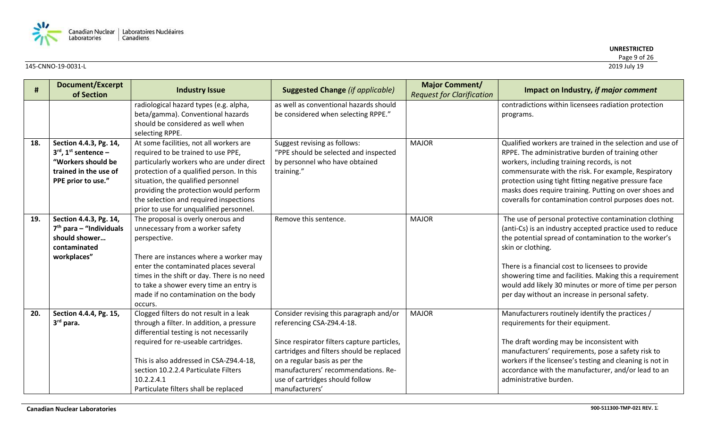

| #   | <b>Document/Excerpt</b><br>of Section        | <b>Industry Issue</b>                       | <b>Suggested Change (if applicable)</b>     | <b>Major Comment/</b><br><b>Request for Clarification</b> | Impact on Industry, if major comment                      |
|-----|----------------------------------------------|---------------------------------------------|---------------------------------------------|-----------------------------------------------------------|-----------------------------------------------------------|
|     |                                              | radiological hazard types (e.g. alpha,      | as well as conventional hazards should      |                                                           | contradictions within licensees radiation protection      |
|     |                                              | beta/gamma). Conventional hazards           | be considered when selecting RPPE."         |                                                           | programs.                                                 |
|     |                                              | should be considered as well when           |                                             |                                                           |                                                           |
|     |                                              | selecting RPPE.                             |                                             |                                                           |                                                           |
| 18. | Section 4.4.3, Pg. 14,                       | At some facilities, not all workers are     | Suggest revising as follows:                | <b>MAJOR</b>                                              | Qualified workers are trained in the selection and use of |
|     | $3^{\text{rd}}$ , 1 <sup>st</sup> sentence - | required to be trained to use PPE,          | "PPE should be selected and inspected       |                                                           | RPPE. The administrative burden of training other         |
|     | "Workers should be                           | particularly workers who are under direct   | by personnel who have obtained              |                                                           | workers, including training records, is not               |
|     | trained in the use of                        | protection of a qualified person. In this   | training."                                  |                                                           | commensurate with the risk. For example, Respiratory      |
|     | PPE prior to use."                           | situation, the qualified personnel          |                                             |                                                           | protection using tight fitting negative pressure face     |
|     |                                              | providing the protection would perform      |                                             |                                                           | masks does require training. Putting on over shoes and    |
|     |                                              | the selection and required inspections      |                                             |                                                           | coveralls for contamination control purposes does not.    |
|     |                                              | prior to use for unqualified personnel.     |                                             |                                                           |                                                           |
| 19. | Section 4.4.3, Pg. 14,                       | The proposal is overly onerous and          | Remove this sentence.                       | <b>MAJOR</b>                                              | The use of personal protective contamination clothing     |
|     | $7th$ para – "Individuals                    | unnecessary from a worker safety            |                                             |                                                           | (anti-Cs) is an industry accepted practice used to reduce |
|     | should shower                                | perspective.                                |                                             |                                                           | the potential spread of contamination to the worker's     |
|     | contaminated                                 |                                             |                                             |                                                           | skin or clothing.                                         |
|     | workplaces"                                  | There are instances where a worker may      |                                             |                                                           |                                                           |
|     |                                              | enter the contaminated places several       |                                             |                                                           | There is a financial cost to licensees to provide         |
|     |                                              | times in the shift or day. There is no need |                                             |                                                           | showering time and facilities. Making this a requirement  |
|     |                                              | to take a shower every time an entry is     |                                             |                                                           | would add likely 30 minutes or more of time per person    |
|     |                                              | made if no contamination on the body        |                                             |                                                           | per day without an increase in personal safety.           |
|     |                                              | occurs.                                     |                                             |                                                           |                                                           |
| 20. | Section 4.4.4, Pg. 15,                       | Clogged filters do not result in a leak     | Consider revising this paragraph and/or     | <b>MAJOR</b>                                              | Manufacturers routinely identify the practices /          |
|     | 3rd para.                                    | through a filter. In addition, a pressure   | referencing CSA-Z94.4-18.                   |                                                           | requirements for their equipment.                         |
|     |                                              | differential testing is not necessarily     |                                             |                                                           |                                                           |
|     |                                              | required for re-useable cartridges.         | Since respirator filters capture particles, |                                                           | The draft wording may be inconsistent with                |
|     |                                              |                                             | cartridges and filters should be replaced   |                                                           | manufacturers' requirements, pose a safety risk to        |
|     |                                              | This is also addressed in CSA-Z94.4-18,     | on a regular basis as per the               |                                                           | workers if the licensee's testing and cleaning is not in  |
|     |                                              | section 10.2.2.4 Particulate Filters        | manufacturers' recommendations. Re-         |                                                           | accordance with the manufacturer, and/or lead to an       |
|     |                                              | 10.2.2.4.1                                  | use of cartridges should follow             |                                                           | administrative burden.                                    |
|     |                                              | Particulate filters shall be replaced       | manufacturers'                              |                                                           |                                                           |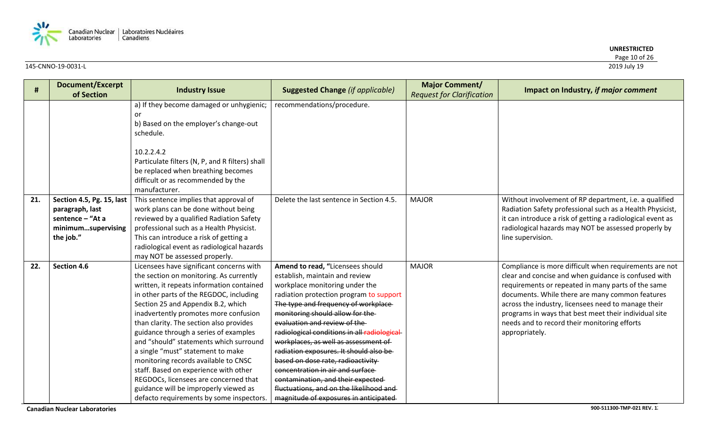

| #   | Document/Excerpt<br>of Section | <b>Industry Issue</b>                                                                                                                                               | <b>Suggested Change (if applicable)</b>                                                                                                                   | <b>Major Comment/</b><br><b>Request for Clarification</b> | Impact on Industry, if major comment                       |
|-----|--------------------------------|---------------------------------------------------------------------------------------------------------------------------------------------------------------------|-----------------------------------------------------------------------------------------------------------------------------------------------------------|-----------------------------------------------------------|------------------------------------------------------------|
|     |                                | a) If they become damaged or unhygienic;                                                                                                                            | recommendations/procedure.                                                                                                                                |                                                           |                                                            |
|     |                                | <b>or</b>                                                                                                                                                           |                                                                                                                                                           |                                                           |                                                            |
|     |                                | b) Based on the employer's change-out                                                                                                                               |                                                                                                                                                           |                                                           |                                                            |
|     |                                | schedule.                                                                                                                                                           |                                                                                                                                                           |                                                           |                                                            |
|     |                                |                                                                                                                                                                     |                                                                                                                                                           |                                                           |                                                            |
|     |                                | 10.2.2.4.2                                                                                                                                                          |                                                                                                                                                           |                                                           |                                                            |
|     |                                | Particulate filters (N, P, and R filters) shall                                                                                                                     |                                                                                                                                                           |                                                           |                                                            |
|     |                                | be replaced when breathing becomes                                                                                                                                  |                                                                                                                                                           |                                                           |                                                            |
|     |                                | difficult or as recommended by the                                                                                                                                  |                                                                                                                                                           |                                                           |                                                            |
|     |                                | manufacturer.                                                                                                                                                       |                                                                                                                                                           |                                                           |                                                            |
| 21. | Section 4.5, Pg. 15, last      | This sentence implies that approval of                                                                                                                              | Delete the last sentence in Section 4.5.                                                                                                                  | <b>MAJOR</b>                                              | Without involvement of RP department, i.e. a qualified     |
|     | paragraph, last                | work plans can be done without being                                                                                                                                |                                                                                                                                                           |                                                           | Radiation Safety professional such as a Health Physicist,  |
|     | sentence - "At a               | reviewed by a qualified Radiation Safety                                                                                                                            |                                                                                                                                                           |                                                           | it can introduce a risk of getting a radiological event as |
|     | minimumsupervising             | professional such as a Health Physicist.                                                                                                                            |                                                                                                                                                           |                                                           | radiological hazards may NOT be assessed properly by       |
|     | the job."                      | This can introduce a risk of getting a                                                                                                                              |                                                                                                                                                           |                                                           | line supervision.                                          |
|     |                                | radiological event as radiological hazards                                                                                                                          |                                                                                                                                                           |                                                           |                                                            |
|     |                                | may NOT be assessed properly.                                                                                                                                       |                                                                                                                                                           |                                                           |                                                            |
| 22. | <b>Section 4.6</b>             | Licensees have significant concerns with                                                                                                                            | Amend to read, "Licensees should                                                                                                                          | <b>MAJOR</b>                                              | Compliance is more difficult when requirements are not     |
|     |                                | the section on monitoring. As currently                                                                                                                             | establish, maintain and review                                                                                                                            |                                                           | clear and concise and when guidance is confused with       |
|     |                                | written, it repeats information contained                                                                                                                           | workplace monitoring under the                                                                                                                            |                                                           | requirements or repeated in many parts of the same         |
|     |                                | in other parts of the REGDOC, including                                                                                                                             | radiation protection program to support                                                                                                                   |                                                           | documents. While there are many common features            |
|     |                                | Section 25 and Appendix B.2, which                                                                                                                                  | The type and frequency of workplace                                                                                                                       |                                                           | across the industry, licensees need to manage their        |
|     |                                | inadvertently promotes more confusion                                                                                                                               | monitoring should allow for the                                                                                                                           |                                                           | programs in ways that best meet their individual site      |
|     |                                | than clarity. The section also provides                                                                                                                             | evaluation and review of the                                                                                                                              |                                                           | needs and to record their monitoring efforts               |
|     |                                | guidance through a series of examples                                                                                                                               | radiological conditions in all radiological                                                                                                               |                                                           | appropriately.                                             |
|     |                                | and "should" statements which surround                                                                                                                              | workplaces, as well as assessment of                                                                                                                      |                                                           |                                                            |
|     |                                | a single "must" statement to make                                                                                                                                   | radiation exposures. It should also be                                                                                                                    |                                                           |                                                            |
|     |                                | monitoring records available to CNSC                                                                                                                                | based on dose rate, radioactivity                                                                                                                         |                                                           |                                                            |
|     |                                |                                                                                                                                                                     |                                                                                                                                                           |                                                           |                                                            |
|     |                                |                                                                                                                                                                     |                                                                                                                                                           |                                                           |                                                            |
|     |                                |                                                                                                                                                                     |                                                                                                                                                           |                                                           |                                                            |
|     |                                | staff. Based on experience with other<br>REGDOCs, licensees are concerned that<br>guidance will be improperly viewed as<br>defacto requirements by some inspectors. | concentration in air and surface<br>contamination, and their expected<br>fluctuations, and on the likelihood and<br>magnitude of exposures in anticipated |                                                           |                                                            |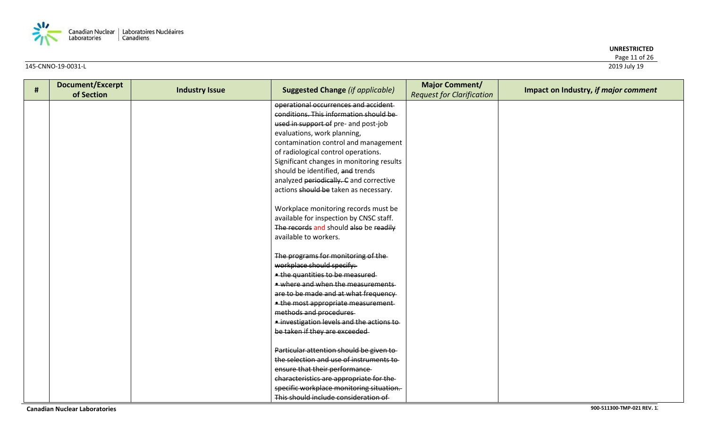

### **UNRESTRICTED**

Page 11 of 26<br>2019 July 19

145-CNNO-19-0031-L 2019 July 19

| # | Document/Excerpt | <b>Industry Issue</b> | <b>Suggested Change (if applicable)</b>   | <b>Major Comment/</b>            | Impact on Industry, if major comment |
|---|------------------|-----------------------|-------------------------------------------|----------------------------------|--------------------------------------|
|   | of Section       |                       |                                           | <b>Request for Clarification</b> |                                      |
|   |                  |                       | operational occurrences and accident      |                                  |                                      |
|   |                  |                       | conditions. This information should be    |                                  |                                      |
|   |                  |                       | used in support of pre- and post-job      |                                  |                                      |
|   |                  |                       | evaluations, work planning,               |                                  |                                      |
|   |                  |                       | contamination control and management      |                                  |                                      |
|   |                  |                       | of radiological control operations.       |                                  |                                      |
|   |                  |                       | Significant changes in monitoring results |                                  |                                      |
|   |                  |                       | should be identified, and trends          |                                  |                                      |
|   |                  |                       | analyzed periodically. C and corrective   |                                  |                                      |
|   |                  |                       | actions should be taken as necessary.     |                                  |                                      |
|   |                  |                       |                                           |                                  |                                      |
|   |                  |                       | Workplace monitoring records must be      |                                  |                                      |
|   |                  |                       | available for inspection by CNSC staff.   |                                  |                                      |
|   |                  |                       | The records and should also be readily    |                                  |                                      |
|   |                  |                       | available to workers.                     |                                  |                                      |
|   |                  |                       |                                           |                                  |                                      |
|   |                  |                       | The programs for monitoring of the-       |                                  |                                      |
|   |                  |                       | workplace should specify:                 |                                  |                                      |
|   |                  |                       | . the quantities to be measured           |                                  |                                      |
|   |                  |                       | . where and when the measurements         |                                  |                                      |
|   |                  |                       | are to be made and at what frequency      |                                  |                                      |
|   |                  |                       | • the most appropriate measurement-       |                                  |                                      |
|   |                  |                       | methods and procedures                    |                                  |                                      |
|   |                  |                       | · investigation levels and the actions to |                                  |                                      |
|   |                  |                       | be taken if they are exceeded             |                                  |                                      |
|   |                  |                       |                                           |                                  |                                      |
|   |                  |                       | Particular attention should be given to   |                                  |                                      |
|   |                  |                       | the selection and use of instruments to   |                                  |                                      |
|   |                  |                       | ensure that their performance             |                                  |                                      |
|   |                  |                       | characteristics are appropriate for the   |                                  |                                      |
|   |                  |                       | specific workplace monitoring situation.  |                                  |                                      |
|   |                  |                       | This should include consideration of      |                                  |                                      |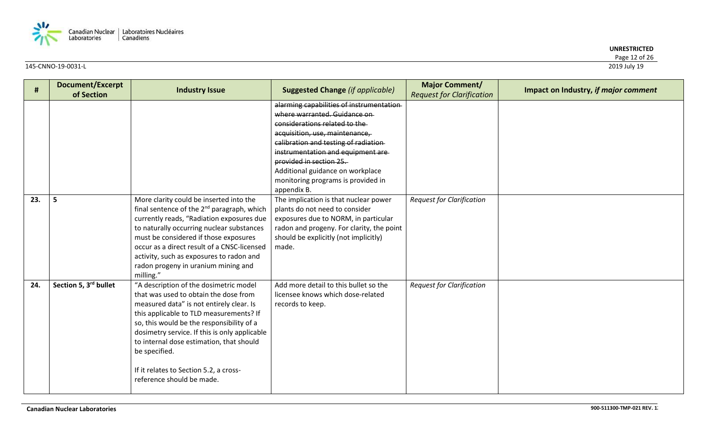

| #   | Document/Excerpt<br>of Section | <b>Industry Issue</b>                                                                                                                                                                                                                                                                                                                                                                                    | <b>Suggested Change (if applicable)</b>                                                                                                                                                                                                                                                                                                      | <b>Major Comment/</b><br><b>Request for Clarification</b> | Impact on Industry, if major comment |
|-----|--------------------------------|----------------------------------------------------------------------------------------------------------------------------------------------------------------------------------------------------------------------------------------------------------------------------------------------------------------------------------------------------------------------------------------------------------|----------------------------------------------------------------------------------------------------------------------------------------------------------------------------------------------------------------------------------------------------------------------------------------------------------------------------------------------|-----------------------------------------------------------|--------------------------------------|
|     |                                |                                                                                                                                                                                                                                                                                                                                                                                                          | alarming capabilities of instrumentation<br>where warranted. Guidance on<br>considerations related to the<br>acquisition, use, maintenance,<br>calibration and testing of radiation<br>instrumentation and equipment are<br>provided in section 25.<br>Additional guidance on workplace<br>monitoring programs is provided in<br>appendix B. |                                                           |                                      |
| 23. | 5                              | More clarity could be inserted into the<br>final sentence of the 2 <sup>nd</sup> paragraph, which<br>currently reads, "Radiation exposures due<br>to naturally occurring nuclear substances<br>must be considered if those exposures<br>occur as a direct result of a CNSC-licensed<br>activity, such as exposures to radon and<br>radon progeny in uranium mining and<br>milling."                      | The implication is that nuclear power<br>plants do not need to consider<br>exposures due to NORM, in particular<br>radon and progeny. For clarity, the point<br>should be explicitly (not implicitly)<br>made.                                                                                                                               | <b>Request for Clarification</b>                          |                                      |
| 24. | Section 5, 3rd bullet          | "A description of the dosimetric model<br>that was used to obtain the dose from<br>measured data" is not entirely clear. Is<br>this applicable to TLD measurements? If<br>so, this would be the responsibility of a<br>dosimetry service. If this is only applicable<br>to internal dose estimation, that should<br>be specified.<br>If it relates to Section 5.2, a cross-<br>reference should be made. | Add more detail to this bullet so the<br>licensee knows which dose-related<br>records to keep.                                                                                                                                                                                                                                               | <b>Request for Clarification</b>                          |                                      |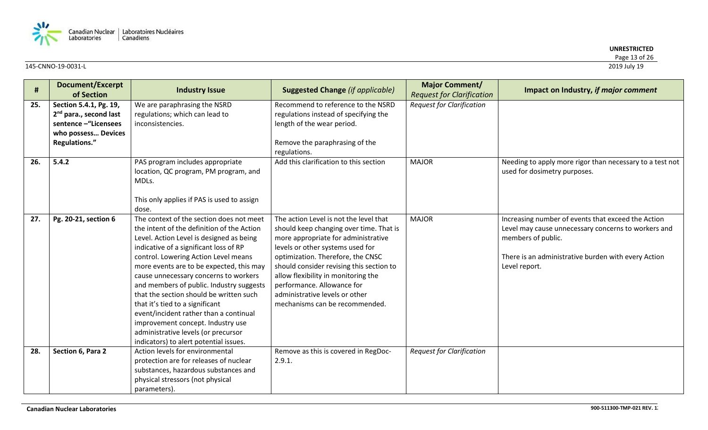

| #   | <b>Document/Excerpt</b><br>of Section                                                                                        | <b>Industry Issue</b>                                                                                                                                                                                                                                                                                                                                                                                                                                                                                                                                                                               | <b>Suggested Change (if applicable)</b>                                                                                                                                                                                                                                                                                                                                                | <b>Major Comment/</b><br><b>Request for Clarification</b> | Impact on Industry, if major comment                                                                                                                                                                    |
|-----|------------------------------------------------------------------------------------------------------------------------------|-----------------------------------------------------------------------------------------------------------------------------------------------------------------------------------------------------------------------------------------------------------------------------------------------------------------------------------------------------------------------------------------------------------------------------------------------------------------------------------------------------------------------------------------------------------------------------------------------------|----------------------------------------------------------------------------------------------------------------------------------------------------------------------------------------------------------------------------------------------------------------------------------------------------------------------------------------------------------------------------------------|-----------------------------------------------------------|---------------------------------------------------------------------------------------------------------------------------------------------------------------------------------------------------------|
| 25. | Section 5.4.1, Pg. 19,<br>2 <sup>nd</sup> para., second last<br>sentence -"Licensees<br>who possess Devices<br>Regulations." | We are paraphrasing the NSRD<br>regulations; which can lead to<br>inconsistencies.                                                                                                                                                                                                                                                                                                                                                                                                                                                                                                                  | Recommend to reference to the NSRD<br>regulations instead of specifying the<br>length of the wear period.<br>Remove the paraphrasing of the<br>regulations.                                                                                                                                                                                                                            | <b>Request for Clarification</b>                          |                                                                                                                                                                                                         |
| 26. | 5.4.2                                                                                                                        | PAS program includes appropriate<br>location, QC program, PM program, and<br>MDLs.<br>This only applies if PAS is used to assign<br>dose.                                                                                                                                                                                                                                                                                                                                                                                                                                                           | Add this clarification to this section                                                                                                                                                                                                                                                                                                                                                 | <b>MAJOR</b>                                              | Needing to apply more rigor than necessary to a test not<br>used for dosimetry purposes.                                                                                                                |
| 27. | Pg. 20-21, section 6                                                                                                         | The context of the section does not meet<br>the intent of the definition of the Action<br>Level. Action Level is designed as being<br>indicative of a significant loss of RP<br>control. Lowering Action Level means<br>more events are to be expected, this may<br>cause unnecessary concerns to workers<br>and members of public. Industry suggests<br>that the section should be written such<br>that it's tied to a significant<br>event/incident rather than a continual<br>improvement concept. Industry use<br>administrative levels (or precursor<br>indicators) to alert potential issues. | The action Level is not the level that<br>should keep changing over time. That is<br>more appropriate for administrative<br>levels or other systems used for<br>optimization. Therefore, the CNSC<br>should consider revising this section to<br>allow flexibility in monitoring the<br>performance. Allowance for<br>administrative levels or other<br>mechanisms can be recommended. | <b>MAJOR</b>                                              | Increasing number of events that exceed the Action<br>Level may cause unnecessary concerns to workers and<br>members of public.<br>There is an administrative burden with every Action<br>Level report. |
| 28. | Section 6, Para 2                                                                                                            | Action levels for environmental<br>protection are for releases of nuclear<br>substances, hazardous substances and<br>physical stressors (not physical<br>parameters).                                                                                                                                                                                                                                                                                                                                                                                                                               | Remove as this is covered in RegDoc-<br>2.9.1.                                                                                                                                                                                                                                                                                                                                         | <b>Request for Clarification</b>                          |                                                                                                                                                                                                         |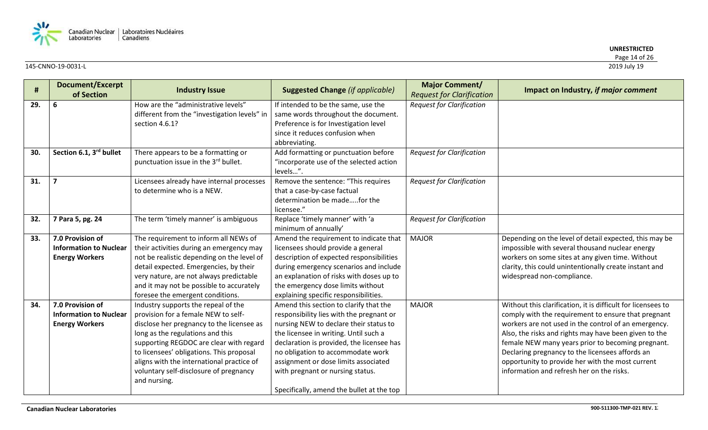

| #   | <b>Document/Excerpt</b><br>of Section                                      | <b>Industry Issue</b>                                                                                                                                                                                                                                                                                                                                     | <b>Suggested Change (if applicable)</b>                                                                                                                                                                                                                                                                                                                                          | <b>Major Comment/</b><br><b>Request for Clarification</b> | Impact on Industry, if major comment                                                                                                                                                                                                                                                                                                                                                                                                          |
|-----|----------------------------------------------------------------------------|-----------------------------------------------------------------------------------------------------------------------------------------------------------------------------------------------------------------------------------------------------------------------------------------------------------------------------------------------------------|----------------------------------------------------------------------------------------------------------------------------------------------------------------------------------------------------------------------------------------------------------------------------------------------------------------------------------------------------------------------------------|-----------------------------------------------------------|-----------------------------------------------------------------------------------------------------------------------------------------------------------------------------------------------------------------------------------------------------------------------------------------------------------------------------------------------------------------------------------------------------------------------------------------------|
| 29. | 6                                                                          | How are the "administrative levels"<br>different from the "investigation levels" in                                                                                                                                                                                                                                                                       | If intended to be the same, use the<br>same words throughout the document.                                                                                                                                                                                                                                                                                                       | <b>Request for Clarification</b>                          |                                                                                                                                                                                                                                                                                                                                                                                                                                               |
|     |                                                                            | section 4.6.1?                                                                                                                                                                                                                                                                                                                                            | Preference is for Investigation level<br>since it reduces confusion when<br>abbreviating.                                                                                                                                                                                                                                                                                        |                                                           |                                                                                                                                                                                                                                                                                                                                                                                                                                               |
| 30. | Section 6.1, 3 <sup>rd</sup> bullet                                        | There appears to be a formatting or<br>punctuation issue in the 3rd bullet.                                                                                                                                                                                                                                                                               | Add formatting or punctuation before<br>"incorporate use of the selected action<br>levels".                                                                                                                                                                                                                                                                                      | <b>Request for Clarification</b>                          |                                                                                                                                                                                                                                                                                                                                                                                                                                               |
| 31. | 7                                                                          | Licensees already have internal processes<br>to determine who is a NEW.                                                                                                                                                                                                                                                                                   | Remove the sentence: "This requires<br>that a case-by-case factual<br>determination be madefor the<br>licensee."                                                                                                                                                                                                                                                                 | <b>Request for Clarification</b>                          |                                                                                                                                                                                                                                                                                                                                                                                                                                               |
| 32. | 7 Para 5, pg. 24                                                           | The term 'timely manner' is ambiguous                                                                                                                                                                                                                                                                                                                     | Replace 'timely manner' with 'a<br>minimum of annually'                                                                                                                                                                                                                                                                                                                          | <b>Request for Clarification</b>                          |                                                                                                                                                                                                                                                                                                                                                                                                                                               |
| 33. | 7.0 Provision of<br><b>Information to Nuclear</b><br><b>Energy Workers</b> | The requirement to inform all NEWs of<br>their activities during an emergency may<br>not be realistic depending on the level of<br>detail expected. Emergencies, by their<br>very nature, are not always predictable<br>and it may not be possible to accurately<br>foresee the emergent conditions.                                                      | Amend the requirement to indicate that<br>licensees should provide a general<br>description of expected responsibilities<br>during emergency scenarios and include<br>an explanation of risks with doses up to<br>the emergency dose limits without<br>explaining specific responsibilities.                                                                                     | <b>MAJOR</b>                                              | Depending on the level of detail expected, this may be<br>impossible with several thousand nuclear energy<br>workers on some sites at any given time. Without<br>clarity, this could unintentionally create instant and<br>widespread non-compliance.                                                                                                                                                                                         |
| 34. | 7.0 Provision of<br><b>Information to Nuclear</b><br><b>Energy Workers</b> | Industry supports the repeal of the<br>provision for a female NEW to self-<br>disclose her pregnancy to the licensee as<br>long as the regulations and this<br>supporting REGDOC are clear with regard<br>to licensees' obligations. This proposal<br>aligns with the international practice of<br>voluntary self-disclosure of pregnancy<br>and nursing. | Amend this section to clarify that the<br>responsibility lies with the pregnant or<br>nursing NEW to declare their status to<br>the licensee in writing. Until such a<br>declaration is provided, the licensee has<br>no obligation to accommodate work<br>assignment or dose limits associated<br>with pregnant or nursing status.<br>Specifically, amend the bullet at the top | <b>MAJOR</b>                                              | Without this clarification, it is difficult for licensees to<br>comply with the requirement to ensure that pregnant<br>workers are not used in the control of an emergency.<br>Also, the risks and rights may have been given to the<br>female NEW many years prior to becoming pregnant.<br>Declaring pregnancy to the licensees affords an<br>opportunity to provide her with the most current<br>information and refresh her on the risks. |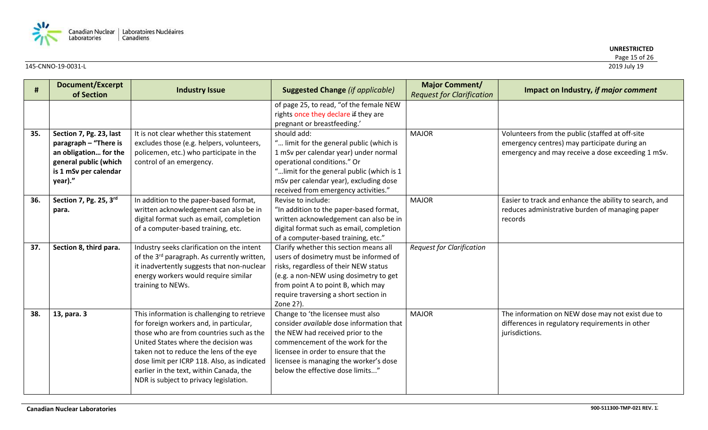

| #   | <b>Document/Excerpt</b><br>of Section | <b>Industry Issue</b>                                   | <b>Suggested Change (if applicable)</b>    | <b>Major Comment/</b><br><b>Request for Clarification</b> | Impact on Industry, if major comment                   |
|-----|---------------------------------------|---------------------------------------------------------|--------------------------------------------|-----------------------------------------------------------|--------------------------------------------------------|
|     |                                       |                                                         | of page 25, to read, "of the female NEW    |                                                           |                                                        |
|     |                                       |                                                         | rights once they declare if they are       |                                                           |                                                        |
|     |                                       |                                                         | pregnant or breastfeeding.'                |                                                           |                                                        |
| 35. | Section 7, Pg. 23, last               | It is not clear whether this statement                  | should add:                                | <b>MAJOR</b>                                              | Volunteers from the public (staffed at off-site        |
|     | paragraph - "There is                 | excludes those (e.g. helpers, volunteers,               | " limit for the general public (which is   |                                                           | emergency centres) may participate during an           |
|     | an obligation for the                 | policemen, etc.) who participate in the                 | 1 mSv per calendar year) under normal      |                                                           | emergency and may receive a dose exceeding 1 mSv.      |
|     | general public (which                 | control of an emergency.                                | operational conditions." Or                |                                                           |                                                        |
|     | is 1 mSv per calendar                 |                                                         | " limit for the general public (which is 1 |                                                           |                                                        |
|     | year)."                               |                                                         | mSv per calendar year), excluding dose     |                                                           |                                                        |
|     |                                       |                                                         | received from emergency activities."       |                                                           |                                                        |
| 36. | Section 7, Pg. 25, 3rd                | In addition to the paper-based format,                  | Revise to include:                         | <b>MAJOR</b>                                              | Easier to track and enhance the ability to search, and |
|     | para.                                 | written acknowledgement can also be in                  | "In addition to the paper-based format,    |                                                           | reduces administrative burden of managing paper        |
|     |                                       | digital format such as email, completion                | written acknowledgement can also be in     |                                                           | records                                                |
|     |                                       | of a computer-based training, etc.                      | digital format such as email, completion   |                                                           |                                                        |
|     |                                       |                                                         | of a computer-based training, etc."        |                                                           |                                                        |
| 37. | Section 8, third para.                | Industry seeks clarification on the intent              | Clarify whether this section means all     | <b>Request for Clarification</b>                          |                                                        |
|     |                                       | of the 3 <sup>rd</sup> paragraph. As currently written, | users of dosimetry must be informed of     |                                                           |                                                        |
|     |                                       | it inadvertently suggests that non-nuclear              | risks, regardless of their NEW status      |                                                           |                                                        |
|     |                                       | energy workers would require similar                    | (e.g. a non-NEW using dosimetry to get     |                                                           |                                                        |
|     |                                       | training to NEWs.                                       | from point A to point B, which may         |                                                           |                                                        |
|     |                                       |                                                         | require traversing a short section in      |                                                           |                                                        |
|     |                                       |                                                         | Zone 2?).                                  |                                                           |                                                        |
| 38. | 13, para. 3                           | This information is challenging to retrieve             | Change to 'the licensee must also          | <b>MAJOR</b>                                              | The information on NEW dose may not exist due to       |
|     |                                       | for foreign workers and, in particular,                 | consider available dose information that   |                                                           | differences in regulatory requirements in other        |
|     |                                       | those who are from countries such as the                | the NEW had received prior to the          |                                                           | jurisdictions.                                         |
|     |                                       | United States where the decision was                    | commencement of the work for the           |                                                           |                                                        |
|     |                                       | taken not to reduce the lens of the eye                 | licensee in order to ensure that the       |                                                           |                                                        |
|     |                                       | dose limit per ICRP 118. Also, as indicated             | licensee is managing the worker's dose     |                                                           |                                                        |
|     |                                       | earlier in the text, within Canada, the                 | below the effective dose limits"           |                                                           |                                                        |
|     |                                       | NDR is subject to privacy legislation.                  |                                            |                                                           |                                                        |
|     |                                       |                                                         |                                            |                                                           |                                                        |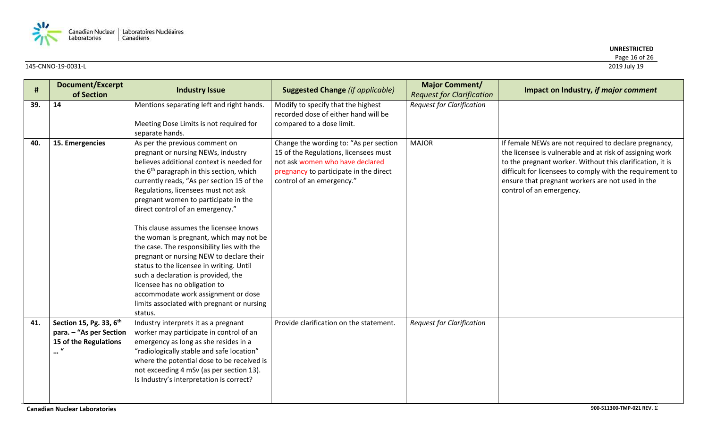

| #   | Document/Excerpt<br>of Section                                                                      | <b>Industry Issue</b>                                                                                                                                                                                                                                                                                                                                                                                                                                                                                                                                                                                                                                                                                                                         | <b>Suggested Change (if applicable)</b>                                                                                                                                                   | <b>Major Comment/</b><br><b>Request for Clarification</b> | Impact on Industry, if major comment                                                                                                                                                                                                                                                                                        |
|-----|-----------------------------------------------------------------------------------------------------|-----------------------------------------------------------------------------------------------------------------------------------------------------------------------------------------------------------------------------------------------------------------------------------------------------------------------------------------------------------------------------------------------------------------------------------------------------------------------------------------------------------------------------------------------------------------------------------------------------------------------------------------------------------------------------------------------------------------------------------------------|-------------------------------------------------------------------------------------------------------------------------------------------------------------------------------------------|-----------------------------------------------------------|-----------------------------------------------------------------------------------------------------------------------------------------------------------------------------------------------------------------------------------------------------------------------------------------------------------------------------|
| 39. | 14                                                                                                  | Mentions separating left and right hands.<br>Meeting Dose Limits is not required for<br>separate hands.                                                                                                                                                                                                                                                                                                                                                                                                                                                                                                                                                                                                                                       | Modify to specify that the highest<br>recorded dose of either hand will be<br>compared to a dose limit.                                                                                   | <b>Request for Clarification</b>                          |                                                                                                                                                                                                                                                                                                                             |
| 40. | 15. Emergencies                                                                                     | As per the previous comment on<br>pregnant or nursing NEWs, industry<br>believes additional context is needed for<br>the 6 <sup>th</sup> paragraph in this section, which<br>currently reads, "As per section 15 of the<br>Regulations, licensees must not ask<br>pregnant women to participate in the<br>direct control of an emergency."<br>This clause assumes the licensee knows<br>the woman is pregnant, which may not be<br>the case. The responsibility lies with the<br>pregnant or nursing NEW to declare their<br>status to the licensee in writing. Until<br>such a declaration is provided, the<br>licensee has no obligation to<br>accommodate work assignment or dose<br>limits associated with pregnant or nursing<br>status. | Change the wording to: "As per section<br>15 of the Regulations, licensees must<br>not ask women who have declared<br>pregnancy to participate in the direct<br>control of an emergency." | <b>MAJOR</b>                                              | If female NEWs are not required to declare pregnancy,<br>the licensee is vulnerable and at risk of assigning work<br>to the pregnant worker. Without this clarification, it is<br>difficult for licensees to comply with the requirement to<br>ensure that pregnant workers are not used in the<br>control of an emergency. |
| 41. | Section 15, Pg. 33, 6 <sup>th</sup><br>para. - "As per Section<br>15 of the Regulations<br>$\cdots$ | Industry interprets it as a pregnant<br>worker may participate in control of an<br>emergency as long as she resides in a<br>"radiologically stable and safe location"<br>where the potential dose to be received is<br>not exceeding 4 mSv (as per section 13).<br>Is Industry's interpretation is correct?                                                                                                                                                                                                                                                                                                                                                                                                                                   | Provide clarification on the statement.                                                                                                                                                   | <b>Request for Clarification</b>                          |                                                                                                                                                                                                                                                                                                                             |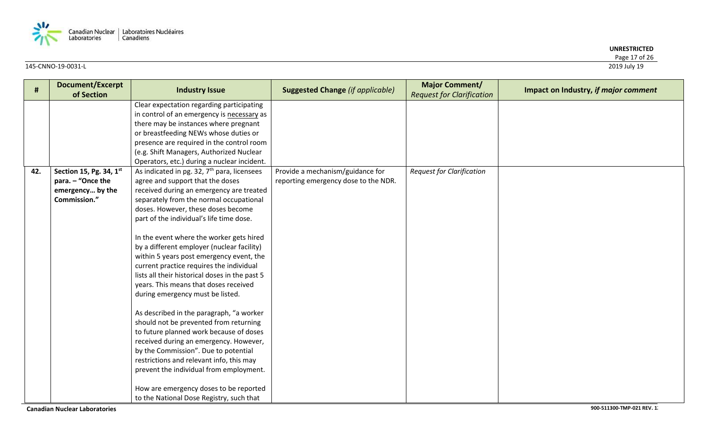

| #   | Document/Excerpt        | <b>Industry Issue</b>                                                              | <b>Suggested Change (if applicable)</b> | <b>Major Comment/</b>            | Impact on Industry, if major comment |
|-----|-------------------------|------------------------------------------------------------------------------------|-----------------------------------------|----------------------------------|--------------------------------------|
|     | of Section              |                                                                                    |                                         | <b>Request for Clarification</b> |                                      |
|     |                         | Clear expectation regarding participating                                          |                                         |                                  |                                      |
|     |                         | in control of an emergency is necessary as                                         |                                         |                                  |                                      |
|     |                         | there may be instances where pregnant                                              |                                         |                                  |                                      |
|     |                         | or breastfeeding NEWs whose duties or                                              |                                         |                                  |                                      |
|     |                         | presence are required in the control room                                          |                                         |                                  |                                      |
|     |                         | (e.g. Shift Managers, Authorized Nuclear                                           |                                         |                                  |                                      |
|     |                         | Operators, etc.) during a nuclear incident.                                        |                                         |                                  |                                      |
| 42. | Section 15, Pg. 34, 1st | As indicated in pg. 32, 7 <sup>th</sup> para, licensees                            | Provide a mechanism/guidance for        | <b>Request for Clarification</b> |                                      |
|     | para. - "Once the       | agree and support that the doses                                                   | reporting emergency dose to the NDR.    |                                  |                                      |
|     | emergency by the        | received during an emergency are treated                                           |                                         |                                  |                                      |
|     | Commission."            | separately from the normal occupational                                            |                                         |                                  |                                      |
|     |                         | doses. However, these doses become                                                 |                                         |                                  |                                      |
|     |                         | part of the individual's life time dose.                                           |                                         |                                  |                                      |
|     |                         | In the event where the worker gets hired                                           |                                         |                                  |                                      |
|     |                         | by a different employer (nuclear facility)                                         |                                         |                                  |                                      |
|     |                         | within 5 years post emergency event, the                                           |                                         |                                  |                                      |
|     |                         | current practice requires the individual                                           |                                         |                                  |                                      |
|     |                         | lists all their historical doses in the past 5                                     |                                         |                                  |                                      |
|     |                         | years. This means that doses received                                              |                                         |                                  |                                      |
|     |                         | during emergency must be listed.                                                   |                                         |                                  |                                      |
|     |                         |                                                                                    |                                         |                                  |                                      |
|     |                         | As described in the paragraph, "a worker<br>should not be prevented from returning |                                         |                                  |                                      |
|     |                         | to future planned work because of doses                                            |                                         |                                  |                                      |
|     |                         | received during an emergency. However,                                             |                                         |                                  |                                      |
|     |                         |                                                                                    |                                         |                                  |                                      |
|     |                         | by the Commission". Due to potential                                               |                                         |                                  |                                      |
|     |                         | restrictions and relevant info, this may                                           |                                         |                                  |                                      |
|     |                         | prevent the individual from employment.                                            |                                         |                                  |                                      |
|     |                         | How are emergency doses to be reported                                             |                                         |                                  |                                      |
|     |                         | to the National Dose Registry, such that                                           |                                         |                                  |                                      |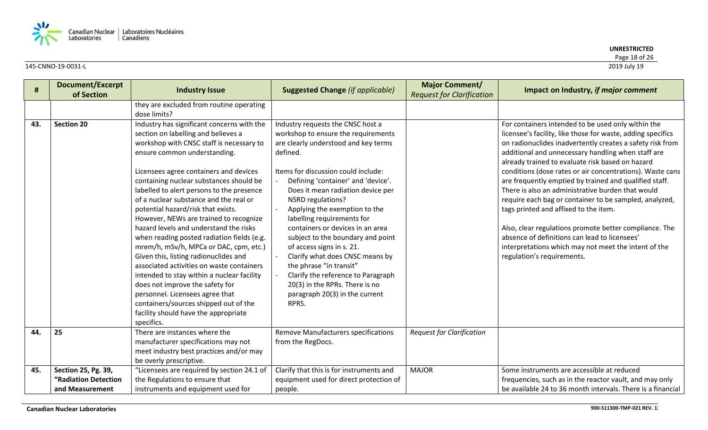

### **UNRESTRICTED**

Page 18 of 26<br>2019 July 19

| #   | Document/Excerpt<br>of Section                                 | <b>Industry Issue</b>                                                                                                                                                                                                                                                                                                                                                                                                                                                                                                                                                                                                                                                                                                                                                                                                                                                | <b>Suggested Change (if applicable)</b>                                                                                                                                                                                                                                                                                                                                                                                                                                                                                                                                                                                          | <b>Major Comment/</b><br><b>Request for Clarification</b> | Impact on Industry, if major comment                                                                                                                                                                                                                                                                                                                                                                                                                                                                                                                                                                                                                                                                                                                                     |
|-----|----------------------------------------------------------------|----------------------------------------------------------------------------------------------------------------------------------------------------------------------------------------------------------------------------------------------------------------------------------------------------------------------------------------------------------------------------------------------------------------------------------------------------------------------------------------------------------------------------------------------------------------------------------------------------------------------------------------------------------------------------------------------------------------------------------------------------------------------------------------------------------------------------------------------------------------------|----------------------------------------------------------------------------------------------------------------------------------------------------------------------------------------------------------------------------------------------------------------------------------------------------------------------------------------------------------------------------------------------------------------------------------------------------------------------------------------------------------------------------------------------------------------------------------------------------------------------------------|-----------------------------------------------------------|--------------------------------------------------------------------------------------------------------------------------------------------------------------------------------------------------------------------------------------------------------------------------------------------------------------------------------------------------------------------------------------------------------------------------------------------------------------------------------------------------------------------------------------------------------------------------------------------------------------------------------------------------------------------------------------------------------------------------------------------------------------------------|
|     |                                                                | they are excluded from routine operating<br>dose limits?                                                                                                                                                                                                                                                                                                                                                                                                                                                                                                                                                                                                                                                                                                                                                                                                             |                                                                                                                                                                                                                                                                                                                                                                                                                                                                                                                                                                                                                                  |                                                           |                                                                                                                                                                                                                                                                                                                                                                                                                                                                                                                                                                                                                                                                                                                                                                          |
| 43. | <b>Section 20</b>                                              | Industry has significant concerns with the<br>section on labelling and believes a<br>workshop with CNSC staff is necessary to<br>ensure common understanding.<br>Licensees agree containers and devices<br>containing nuclear substances should be<br>labelled to alert persons to the presence<br>of a nuclear substance and the real or<br>potential hazard/risk that exists.<br>However, NEWs are trained to recognize<br>hazard levels and understand the risks<br>when reading posted radiation fields (e.g.<br>mrem/h, mSv/h, MPCa or DAC, cpm, etc.)<br>Given this, listing radionuclides and<br>associated activities on waste containers<br>intended to stay within a nuclear facility<br>does not improve the safety for<br>personnel. Licensees agree that<br>containers/sources shipped out of the<br>facility should have the appropriate<br>specifics. | Industry requests the CNSC host a<br>workshop to ensure the requirements<br>are clearly understood and key terms<br>defined.<br>Items for discussion could include:<br>Defining 'container' and 'device'.<br>Does it mean radiation device per<br><b>NSRD regulations?</b><br>Applying the exemption to the<br>labelling requirements for<br>containers or devices in an area<br>subject to the boundary and point<br>of access signs in s. 21.<br>Clarify what does CNSC means by<br>the phrase "in transit"<br>Clarify the reference to Paragraph<br>20(3) in the RPRs. There is no<br>paragraph 20(3) in the current<br>RPRS. |                                                           | For containers intended to be used only within the<br>licensee's facility, like those for waste, adding specifics<br>on radionuclides inadvertently creates a safety risk from<br>additional and unnecessary handling when staff are<br>already trained to evaluate risk based on hazard<br>conditions (dose rates or air concentrations). Waste cans<br>are frequently emptied by trained and qualified staff.<br>There is also an administrative burden that would<br>require each bag or container to be sampled, analyzed,<br>tags printed and affixed to the item.<br>Also, clear regulations promote better compliance. The<br>absence of definitions can lead to licensees'<br>interpretations which may not meet the intent of the<br>regulation's requirements. |
| 44. | 25                                                             | There are instances where the<br>manufacturer specifications may not<br>meet industry best practices and/or may<br>be overly prescriptive.                                                                                                                                                                                                                                                                                                                                                                                                                                                                                                                                                                                                                                                                                                                           | <b>Remove Manufacturers specifications</b><br>from the RegDocs.                                                                                                                                                                                                                                                                                                                                                                                                                                                                                                                                                                  | <b>Request for Clarification</b>                          |                                                                                                                                                                                                                                                                                                                                                                                                                                                                                                                                                                                                                                                                                                                                                                          |
| 45. | Section 25, Pg. 39,<br>"Radiation Detection<br>and Measurement | "Licensees are required by section 24.1 of<br>the Regulations to ensure that<br>instruments and equipment used for                                                                                                                                                                                                                                                                                                                                                                                                                                                                                                                                                                                                                                                                                                                                                   | Clarify that this is for instruments and<br>equipment used for direct protection of<br>people.                                                                                                                                                                                                                                                                                                                                                                                                                                                                                                                                   | <b>MAJOR</b>                                              | Some instruments are accessible at reduced<br>frequencies, such as in the reactor vault, and may only<br>be available 24 to 36 month intervals. There is a financial                                                                                                                                                                                                                                                                                                                                                                                                                                                                                                                                                                                                     |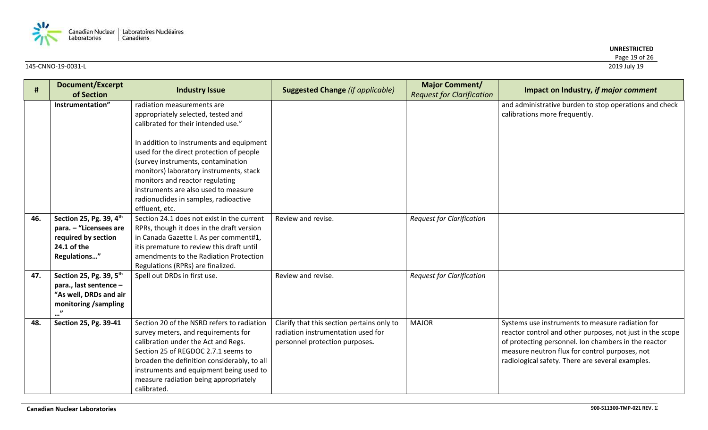

### **UNRESTRICTED**

Page 19 of 26<br>2019 July 19

| #   | <b>Document/Excerpt</b><br>of Section                                                                                      | <b>Industry Issue</b>                                                                                                                                                                                                                                                                                             | <b>Suggested Change (if applicable)</b>                                                                            | <b>Major Comment/</b><br><b>Request for Clarification</b> | Impact on Industry, if major comment                                                                                                                                                                                                                                        |
|-----|----------------------------------------------------------------------------------------------------------------------------|-------------------------------------------------------------------------------------------------------------------------------------------------------------------------------------------------------------------------------------------------------------------------------------------------------------------|--------------------------------------------------------------------------------------------------------------------|-----------------------------------------------------------|-----------------------------------------------------------------------------------------------------------------------------------------------------------------------------------------------------------------------------------------------------------------------------|
|     | Instrumentation"                                                                                                           | radiation measurements are<br>appropriately selected, tested and<br>calibrated for their intended use."                                                                                                                                                                                                           |                                                                                                                    |                                                           | and administrative burden to stop operations and check<br>calibrations more frequently.                                                                                                                                                                                     |
|     |                                                                                                                            | In addition to instruments and equipment<br>used for the direct protection of people<br>(survey instruments, contamination<br>monitors) laboratory instruments, stack<br>monitors and reactor regulating<br>instruments are also used to measure<br>radionuclides in samples, radioactive<br>effluent, etc.       |                                                                                                                    |                                                           |                                                                                                                                                                                                                                                                             |
| 46. | Section 25, Pg. 39, 4 <sup>th</sup><br>para. - "Licensees are<br>required by section<br>24.1 of the<br>Regulations"        | Section 24.1 does not exist in the current<br>RPRs, though it does in the draft version<br>in Canada Gazette I. As per comment#1,<br>itis premature to review this draft until<br>amendments to the Radiation Protection<br>Regulations (RPRs) are finalized.                                                     | Review and revise.                                                                                                 | <b>Request for Clarification</b>                          |                                                                                                                                                                                                                                                                             |
| 47. | Section 25, Pg. 39, 5 <sup>th</sup><br>para., last sentence -<br>"As well, DRDs and air<br>monitoring /sampling<br>$\cdot$ | Spell out DRDs in first use.                                                                                                                                                                                                                                                                                      | Review and revise.                                                                                                 | <b>Request for Clarification</b>                          |                                                                                                                                                                                                                                                                             |
| 48. | Section 25, Pg. 39-41                                                                                                      | Section 20 of the NSRD refers to radiation<br>survey meters, and requirements for<br>calibration under the Act and Regs.<br>Section 25 of REGDOC 2.7.1 seems to<br>broaden the definition considerably, to all<br>instruments and equipment being used to<br>measure radiation being appropriately<br>calibrated. | Clarify that this section pertains only to<br>radiation instrumentation used for<br>personnel protection purposes. | <b>MAJOR</b>                                              | Systems use instruments to measure radiation for<br>reactor control and other purposes, not just in the scope<br>of protecting personnel. Ion chambers in the reactor<br>measure neutron flux for control purposes, not<br>radiological safety. There are several examples. |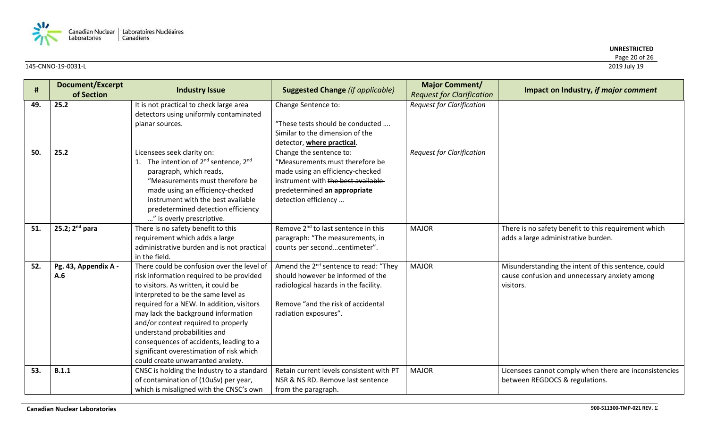

| $\pmb{\#}$ | Document/Excerpt     | <b>Industry Issue</b>                        | <b>Suggested Change (if applicable)</b>           | <b>Major Comment/</b>            | Impact on Industry, if major comment                   |
|------------|----------------------|----------------------------------------------|---------------------------------------------------|----------------------------------|--------------------------------------------------------|
|            | of Section           |                                              |                                                   | <b>Request for Clarification</b> |                                                        |
| 49.        | 25.2                 | It is not practical to check large area      | Change Sentence to:                               | <b>Request for Clarification</b> |                                                        |
|            |                      | detectors using uniformly contaminated       |                                                   |                                  |                                                        |
|            |                      | planar sources.                              | "These tests should be conducted                  |                                  |                                                        |
|            |                      |                                              | Similar to the dimension of the                   |                                  |                                                        |
|            |                      |                                              | detector, where practical.                        |                                  |                                                        |
| 50.        | 25.2                 | Licensees seek clarity on:                   | Change the sentence to:                           | <b>Request for Clarification</b> |                                                        |
|            |                      | The intention of $2^{nd}$ sentence, $2^{nd}$ | "Measurements must therefore be                   |                                  |                                                        |
|            |                      | paragraph, which reads,                      | made using an efficiency-checked                  |                                  |                                                        |
|            |                      | "Measurements must therefore be              | instrument with the best available                |                                  |                                                        |
|            |                      | made using an efficiency-checked             | predetermined an appropriate                      |                                  |                                                        |
|            |                      | instrument with the best available           | detection efficiency                              |                                  |                                                        |
|            |                      | predetermined detection efficiency           |                                                   |                                  |                                                        |
|            |                      | " is overly prescriptive.                    |                                                   |                                  |                                                        |
| 51.        | 25.2; $2^{nd}$ para  | There is no safety benefit to this           | Remove 2 <sup>nd</sup> to last sentence in this   | <b>MAJOR</b>                     | There is no safety benefit to this requirement which   |
|            |                      | requirement which adds a large               | paragraph: "The measurements, in                  |                                  | adds a large administrative burden.                    |
|            |                      | administrative burden and is not practical   | counts per secondcentimeter".                     |                                  |                                                        |
|            |                      | in the field.                                |                                                   |                                  |                                                        |
| 52.        | Pg. 43, Appendix A - | There could be confusion over the level of   | Amend the 2 <sup>nd</sup> sentence to read: "They | <b>MAJOR</b>                     | Misunderstanding the intent of this sentence, could    |
|            | A.6                  | risk information required to be provided     | should however be informed of the                 |                                  | cause confusion and unnecessary anxiety among          |
|            |                      | to visitors. As written, it could be         | radiological hazards in the facility.             |                                  | visitors.                                              |
|            |                      | interpreted to be the same level as          |                                                   |                                  |                                                        |
|            |                      | required for a NEW. In addition, visitors    | Remove "and the risk of accidental                |                                  |                                                        |
|            |                      | may lack the background information          | radiation exposures".                             |                                  |                                                        |
|            |                      | and/or context required to properly          |                                                   |                                  |                                                        |
|            |                      | understand probabilities and                 |                                                   |                                  |                                                        |
|            |                      | consequences of accidents, leading to a      |                                                   |                                  |                                                        |
|            |                      | significant overestimation of risk which     |                                                   |                                  |                                                        |
|            |                      | could create unwarranted anxiety.            |                                                   |                                  |                                                        |
| 53.        | B.1.1                | CNSC is holding the Industry to a standard   | Retain current levels consistent with PT          | <b>MAJOR</b>                     | Licensees cannot comply when there are inconsistencies |
|            |                      | of contamination of (10uSv) per year,        | NSR & NS RD. Remove last sentence                 |                                  | between REGDOCS & regulations.                         |
|            |                      | which is misaligned with the CNSC's own      | from the paragraph.                               |                                  |                                                        |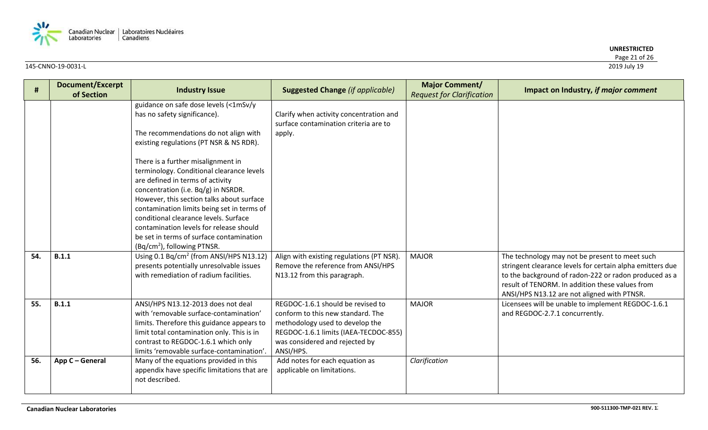

| #   | Document/Excerpt<br>of Section | <b>Industry Issue</b>                                                                                                                                                                                                                                                                                                                                                                                                  | <b>Suggested Change (if applicable)</b>                                                                                                                                                           | <b>Major Comment/</b><br><b>Request for Clarification</b> | Impact on Industry, if major comment                                                                                                                                                                                                                                   |
|-----|--------------------------------|------------------------------------------------------------------------------------------------------------------------------------------------------------------------------------------------------------------------------------------------------------------------------------------------------------------------------------------------------------------------------------------------------------------------|---------------------------------------------------------------------------------------------------------------------------------------------------------------------------------------------------|-----------------------------------------------------------|------------------------------------------------------------------------------------------------------------------------------------------------------------------------------------------------------------------------------------------------------------------------|
|     |                                | guidance on safe dose levels (<1mSv/y<br>has no safety significance).<br>The recommendations do not align with<br>existing regulations (PT NSR & NS RDR).                                                                                                                                                                                                                                                              | Clarify when activity concentration and<br>surface contamination criteria are to<br>apply.                                                                                                        |                                                           |                                                                                                                                                                                                                                                                        |
|     |                                | There is a further misalignment in<br>terminology. Conditional clearance levels<br>are defined in terms of activity<br>concentration (i.e. Bq/g) in NSRDR.<br>However, this section talks about surface<br>contamination limits being set in terms of<br>conditional clearance levels. Surface<br>contamination levels for release should<br>be set in terms of surface contamination<br>$(Bq/cm2)$ , following PTNSR. |                                                                                                                                                                                                   |                                                           |                                                                                                                                                                                                                                                                        |
| 54. | B.1.1                          | Using 0.1 Bq/cm <sup>2</sup> (from ANSI/HPS N13.12)<br>presents potentially unresolvable issues<br>with remediation of radium facilities.                                                                                                                                                                                                                                                                              | Align with existing regulations (PT NSR).<br>Remove the reference from ANSI/HPS<br>N13.12 from this paragraph.                                                                                    | <b>MAJOR</b>                                              | The technology may not be present to meet such<br>stringent clearance levels for certain alpha emitters due<br>to the background of radon-222 or radon produced as a<br>result of TENORM. In addition these values from<br>ANSI/HPS N13.12 are not aligned with PTNSR. |
| 55. | B.1.1                          | ANSI/HPS N13.12-2013 does not deal<br>with 'removable surface-contamination'<br>limits. Therefore this guidance appears to<br>limit total contamination only. This is in<br>contrast to REGDOC-1.6.1 which only<br>limits 'removable surface-contamination'.                                                                                                                                                           | REGDOC-1.6.1 should be revised to<br>conform to this new standard. The<br>methodology used to develop the<br>REGDOC-1.6.1 limits (IAEA-TECDOC-855)<br>was considered and rejected by<br>ANSI/HPS. | <b>MAJOR</b>                                              | Licensees will be unable to implement REGDOC-1.6.1<br>and REGDOC-2.7.1 concurrently.                                                                                                                                                                                   |
| 56. | App C - General                | Many of the equations provided in this<br>appendix have specific limitations that are<br>not described.                                                                                                                                                                                                                                                                                                                | Add notes for each equation as<br>applicable on limitations.                                                                                                                                      | Clarification                                             |                                                                                                                                                                                                                                                                        |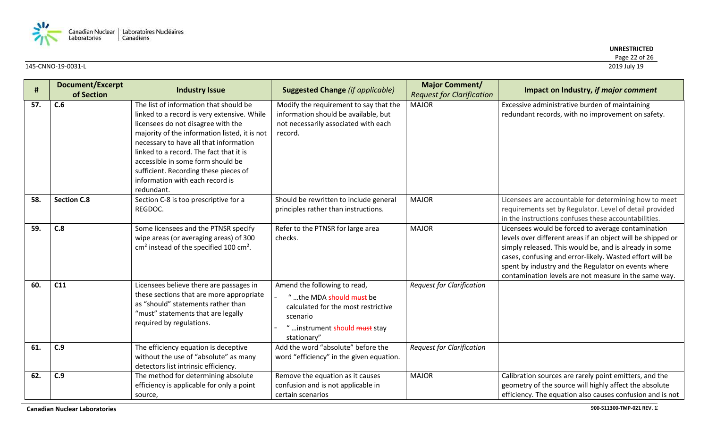

### **UNRESTRICTED**

Page 22 of 26<br>2019 July 19

| #   | <b>Document/Excerpt</b><br>of Section | <b>Industry Issue</b>                                                                                                                                                                                                                                                                                                                                                                            | <b>Suggested Change (if applicable)</b>                                                                                                                      | <b>Major Comment/</b><br><b>Request for Clarification</b> | Impact on Industry, if major comment                                                                                                                                                                                                                                                                                                                    |
|-----|---------------------------------------|--------------------------------------------------------------------------------------------------------------------------------------------------------------------------------------------------------------------------------------------------------------------------------------------------------------------------------------------------------------------------------------------------|--------------------------------------------------------------------------------------------------------------------------------------------------------------|-----------------------------------------------------------|---------------------------------------------------------------------------------------------------------------------------------------------------------------------------------------------------------------------------------------------------------------------------------------------------------------------------------------------------------|
| 57. | C.6                                   | The list of information that should be<br>linked to a record is very extensive. While<br>licensees do not disagree with the<br>majority of the information listed, it is not<br>necessary to have all that information<br>linked to a record. The fact that it is<br>accessible in some form should be<br>sufficient. Recording these pieces of<br>information with each record is<br>redundant. | Modify the requirement to say that the<br>information should be available, but<br>not necessarily associated with each<br>record.                            | <b>MAJOR</b>                                              | Excessive administrative burden of maintaining<br>redundant records, with no improvement on safety.                                                                                                                                                                                                                                                     |
| 58. | <b>Section C.8</b>                    | Section C-8 is too prescriptive for a<br>REGDOC.                                                                                                                                                                                                                                                                                                                                                 | Should be rewritten to include general<br>principles rather than instructions.                                                                               | <b>MAJOR</b>                                              | Licensees are accountable for determining how to meet<br>requirements set by Regulator. Level of detail provided<br>in the instructions confuses these accountabilities.                                                                                                                                                                                |
| 59. | C.8                                   | Some licensees and the PTNSR specify<br>wipe areas (or averaging areas) of 300<br>cm <sup>2</sup> instead of the specified 100 cm <sup>2</sup> .                                                                                                                                                                                                                                                 | Refer to the PTNSR for large area<br>checks.                                                                                                                 | <b>MAJOR</b>                                              | Licensees would be forced to average contamination<br>levels over different areas if an object will be shipped or<br>simply released. This would be, and is already in some<br>cases, confusing and error-likely. Wasted effort will be<br>spent by industry and the Regulator on events where<br>contamination levels are not measure in the same way. |
| 60. | C11                                   | Licensees believe there are passages in<br>these sections that are more appropriate<br>as "should" statements rather than<br>"must" statements that are legally<br>required by regulations.                                                                                                                                                                                                      | Amend the following to read,<br>" the MDA should must be<br>calculated for the most restrictive<br>scenario<br>"  instrument should must stay<br>stationary" | <b>Request for Clarification</b>                          |                                                                                                                                                                                                                                                                                                                                                         |
| 61. | C.9                                   | The efficiency equation is deceptive<br>without the use of "absolute" as many<br>detectors list intrinsic efficiency.                                                                                                                                                                                                                                                                            | Add the word "absolute" before the<br>word "efficiency" in the given equation.                                                                               | <b>Request for Clarification</b>                          |                                                                                                                                                                                                                                                                                                                                                         |
| 62. | C.9                                   | The method for determining absolute<br>efficiency is applicable for only a point<br>source,                                                                                                                                                                                                                                                                                                      | Remove the equation as it causes<br>confusion and is not applicable in<br>certain scenarios                                                                  | <b>MAJOR</b>                                              | Calibration sources are rarely point emitters, and the<br>geometry of the source will highly affect the absolute<br>efficiency. The equation also causes confusion and is not                                                                                                                                                                           |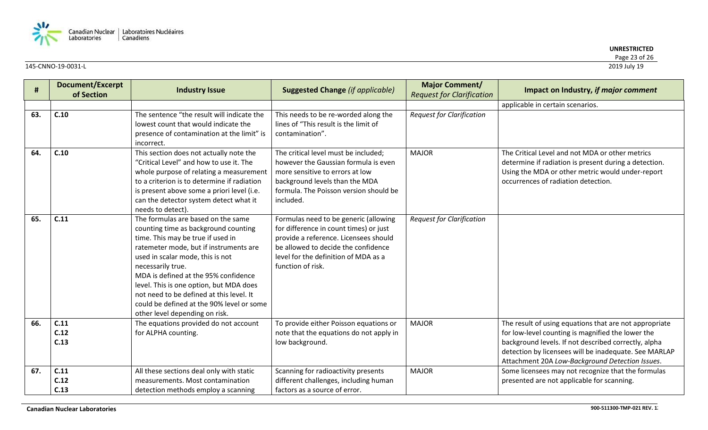

| #   | <b>Document/Excerpt</b><br>of Section | <b>Industry Issue</b>                                                                                                                                                                                                                                                                                                                                                                                                            | <b>Suggested Change (if applicable)</b>                                                                                                                                                                                      | <b>Major Comment/</b><br><b>Request for Clarification</b> | Impact on Industry, if major comment                                                                                                                                                                                                                                            |
|-----|---------------------------------------|----------------------------------------------------------------------------------------------------------------------------------------------------------------------------------------------------------------------------------------------------------------------------------------------------------------------------------------------------------------------------------------------------------------------------------|------------------------------------------------------------------------------------------------------------------------------------------------------------------------------------------------------------------------------|-----------------------------------------------------------|---------------------------------------------------------------------------------------------------------------------------------------------------------------------------------------------------------------------------------------------------------------------------------|
|     |                                       |                                                                                                                                                                                                                                                                                                                                                                                                                                  |                                                                                                                                                                                                                              |                                                           | applicable in certain scenarios.                                                                                                                                                                                                                                                |
| 63. | C.10                                  | The sentence "the result will indicate the<br>lowest count that would indicate the<br>presence of contamination at the limit" is<br>incorrect.                                                                                                                                                                                                                                                                                   | This needs to be re-worded along the<br>lines of "This result is the limit of<br>contamination".                                                                                                                             | <b>Request for Clarification</b>                          |                                                                                                                                                                                                                                                                                 |
| 64. | C.10                                  | This section does not actually note the<br>"Critical Level" and how to use it. The<br>whole purpose of relating a measurement<br>to a criterion is to determine if radiation<br>is present above some a priori level (i.e.<br>can the detector system detect what it<br>needs to detect).                                                                                                                                        | The critical level must be included;<br>however the Gaussian formula is even<br>more sensitive to errors at low<br>background levels than the MDA<br>formula. The Poisson version should be<br>included.                     | <b>MAJOR</b>                                              | The Critical Level and not MDA or other metrics<br>determine if radiation is present during a detection.<br>Using the MDA or other metric would under-report<br>occurrences of radiation detection.                                                                             |
| 65. | C.11                                  | The formulas are based on the same<br>counting time as background counting<br>time. This may be true if used in<br>ratemeter mode, but if instruments are<br>used in scalar mode, this is not<br>necessarily true.<br>MDA is defined at the 95% confidence<br>level. This is one option, but MDA does<br>not need to be defined at this level. It<br>could be defined at the 90% level or some<br>other level depending on risk. | Formulas need to be generic (allowing<br>for difference in count times) or just<br>provide a reference. Licensees should<br>be allowed to decide the confidence<br>level for the definition of MDA as a<br>function of risk. | <b>Request for Clarification</b>                          |                                                                                                                                                                                                                                                                                 |
| 66. | C.11<br>C.12<br>C.13                  | The equations provided do not account<br>for ALPHA counting.                                                                                                                                                                                                                                                                                                                                                                     | To provide either Poisson equations or<br>note that the equations do not apply in<br>low background.                                                                                                                         | <b>MAJOR</b>                                              | The result of using equations that are not appropriate<br>for low-level counting is magnified the lower the<br>background levels. If not described correctly, alpha<br>detection by licensees will be inadequate. See MARLAP<br>Attachment 20A Low-Background Detection Issues. |
| 67. | C.11<br>C.12<br>C.13                  | All these sections deal only with static<br>measurements. Most contamination<br>detection methods employ a scanning                                                                                                                                                                                                                                                                                                              | Scanning for radioactivity presents<br>different challenges, including human<br>factors as a source of error.                                                                                                                | <b>MAJOR</b>                                              | Some licensees may not recognize that the formulas<br>presented are not applicable for scanning.                                                                                                                                                                                |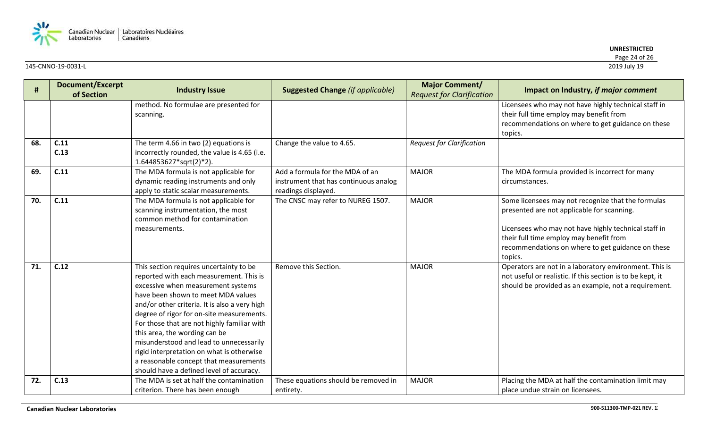

| #   | <b>Document/Excerpt</b><br>of Section | <b>Industry Issue</b>                                                                                                                                                                                                                                                                                                                                                                                                                                                                                                      | <b>Suggested Change (if applicable)</b>                                                         | <b>Major Comment/</b><br><b>Request for Clarification</b> | Impact on Industry, if major comment                                                                                                                                                                                                                                |
|-----|---------------------------------------|----------------------------------------------------------------------------------------------------------------------------------------------------------------------------------------------------------------------------------------------------------------------------------------------------------------------------------------------------------------------------------------------------------------------------------------------------------------------------------------------------------------------------|-------------------------------------------------------------------------------------------------|-----------------------------------------------------------|---------------------------------------------------------------------------------------------------------------------------------------------------------------------------------------------------------------------------------------------------------------------|
|     |                                       | method. No formulae are presented for<br>scanning.                                                                                                                                                                                                                                                                                                                                                                                                                                                                         |                                                                                                 |                                                           | Licensees who may not have highly technical staff in<br>their full time employ may benefit from<br>recommendations on where to get guidance on these<br>topics.                                                                                                     |
| 68. | C.11<br>C.13                          | The term 4.66 in two (2) equations is<br>incorrectly rounded, the value is 4.65 (i.e.<br>$1.644853627*sqrt(2)*2$ ).                                                                                                                                                                                                                                                                                                                                                                                                        | Change the value to 4.65.                                                                       | <b>Request for Clarification</b>                          |                                                                                                                                                                                                                                                                     |
| 69. | C.11                                  | The MDA formula is not applicable for<br>dynamic reading instruments and only<br>apply to static scalar measurements.                                                                                                                                                                                                                                                                                                                                                                                                      | Add a formula for the MDA of an<br>instrument that has continuous analog<br>readings displayed. | <b>MAJOR</b>                                              | The MDA formula provided is incorrect for many<br>circumstances.                                                                                                                                                                                                    |
| 70. | C.11                                  | The MDA formula is not applicable for<br>scanning instrumentation, the most<br>common method for contamination<br>measurements.                                                                                                                                                                                                                                                                                                                                                                                            | The CNSC may refer to NUREG 1507.                                                               | <b>MAJOR</b>                                              | Some licensees may not recognize that the formulas<br>presented are not applicable for scanning.<br>Licensees who may not have highly technical staff in<br>their full time employ may benefit from<br>recommendations on where to get guidance on these<br>topics. |
| 71. | C.12                                  | This section requires uncertainty to be<br>reported with each measurement. This is<br>excessive when measurement systems<br>have been shown to meet MDA values<br>and/or other criteria. It is also a very high<br>degree of rigor for on-site measurements.<br>For those that are not highly familiar with<br>this area, the wording can be<br>misunderstood and lead to unnecessarily<br>rigid interpretation on what is otherwise<br>a reasonable concept that measurements<br>should have a defined level of accuracy. | Remove this Section.                                                                            | <b>MAJOR</b>                                              | Operators are not in a laboratory environment. This is<br>not useful or realistic. If this section is to be kept, it<br>should be provided as an example, not a requirement.                                                                                        |
| 72. | C.13                                  | The MDA is set at half the contamination<br>criterion. There has been enough                                                                                                                                                                                                                                                                                                                                                                                                                                               | These equations should be removed in<br>entirety.                                               | <b>MAJOR</b>                                              | Placing the MDA at half the contamination limit may<br>place undue strain on licensees.                                                                                                                                                                             |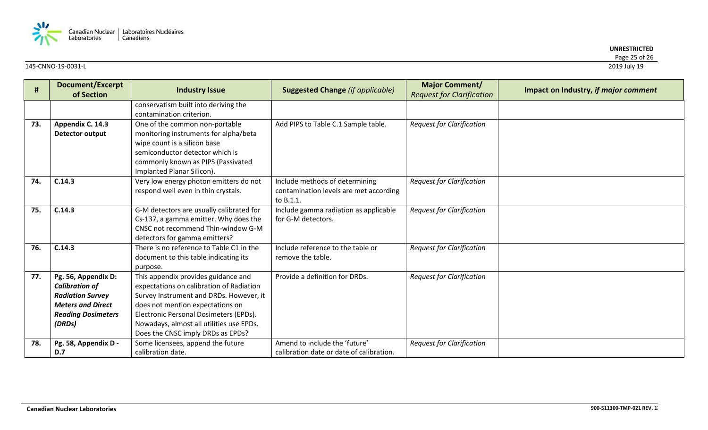

| #   | Document/Excerpt<br>of Section | <b>Industry Issue</b>                    | <b>Suggested Change (if applicable)</b>  | <b>Major Comment/</b><br><b>Request for Clarification</b> | Impact on Industry, if major comment |
|-----|--------------------------------|------------------------------------------|------------------------------------------|-----------------------------------------------------------|--------------------------------------|
|     |                                | conservatism built into deriving the     |                                          |                                                           |                                      |
|     |                                | contamination criterion.                 |                                          |                                                           |                                      |
| 73. | Appendix C. 14.3               | One of the common non-portable           | Add PIPS to Table C.1 Sample table.      | <b>Request for Clarification</b>                          |                                      |
|     | <b>Detector output</b>         | monitoring instruments for alpha/beta    |                                          |                                                           |                                      |
|     |                                | wipe count is a silicon base             |                                          |                                                           |                                      |
|     |                                | semiconductor detector which is          |                                          |                                                           |                                      |
|     |                                | commonly known as PIPS (Passivated       |                                          |                                                           |                                      |
|     |                                | Implanted Planar Silicon).               |                                          |                                                           |                                      |
| 74. | C.14.3                         | Very low energy photon emitters do not   | Include methods of determining           | <b>Request for Clarification</b>                          |                                      |
|     |                                | respond well even in thin crystals.      | contamination levels are met according   |                                                           |                                      |
|     |                                |                                          | to B.1.1.                                |                                                           |                                      |
| 75. | C.14.3                         | G-M detectors are usually calibrated for | Include gamma radiation as applicable    | <b>Request for Clarification</b>                          |                                      |
|     |                                | Cs-137, a gamma emitter. Why does the    | for G-M detectors.                       |                                                           |                                      |
|     |                                | CNSC not recommend Thin-window G-M       |                                          |                                                           |                                      |
|     |                                | detectors for gamma emitters?            |                                          |                                                           |                                      |
| 76. | C.14.3                         | There is no reference to Table C1 in the | Include reference to the table or        | <b>Request for Clarification</b>                          |                                      |
|     |                                | document to this table indicating its    | remove the table.                        |                                                           |                                      |
|     |                                | purpose.                                 |                                          |                                                           |                                      |
| 77. | Pg. 56, Appendix D:            | This appendix provides guidance and      | Provide a definition for DRDs.           | <b>Request for Clarification</b>                          |                                      |
|     | <b>Calibration of</b>          | expectations on calibration of Radiation |                                          |                                                           |                                      |
|     | <b>Radiation Survey</b>        | Survey Instrument and DRDs. However, it  |                                          |                                                           |                                      |
|     | <b>Meters and Direct</b>       | does not mention expectations on         |                                          |                                                           |                                      |
|     | <b>Reading Dosimeters</b>      | Electronic Personal Dosimeters (EPDs).   |                                          |                                                           |                                      |
|     | (DRDs)                         | Nowadays, almost all utilities use EPDs. |                                          |                                                           |                                      |
|     |                                | Does the CNSC imply DRDs as EPDs?        |                                          |                                                           |                                      |
| 78. | Pg. 58, Appendix D -           | Some licensees, append the future        | Amend to include the 'future'            | <b>Request for Clarification</b>                          |                                      |
|     | <b>D.7</b>                     | calibration date.                        | calibration date or date of calibration. |                                                           |                                      |